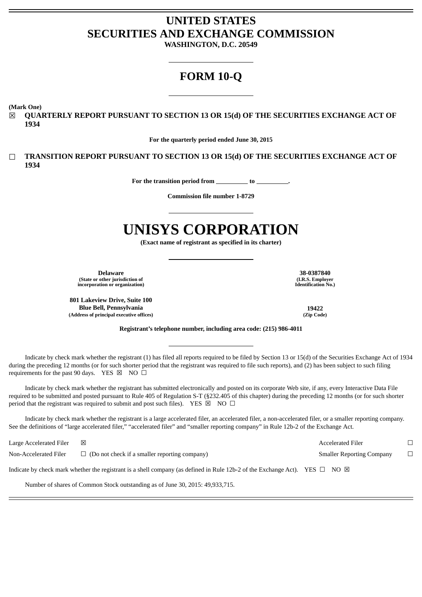## **UNITED STATES SECURITIES AND EXCHANGE COMMISSION**

**WASHINGTON, D.C. 20549**

## **FORM 10-Q**

**(Mark One)**

☒ **QUARTERLY REPORT PURSUANT TO SECTION 13 OR 15(d) OF THE SECURITIES EXCHANGE ACT OF 1934**

**For the quarterly period ended June 30, 2015**

☐ **TRANSITION REPORT PURSUANT TO SECTION 13 OR 15(d) OF THE SECURITIES EXCHANGE ACT OF 1934**

**For the transition period from to .**

**Commission file number 1-8729**

# **UNISYS CORPORATION**

**(Exact name of registrant as specified in its charter)**

**Delaware 38-0387840 (State or other jurisdiction of incorporation or organization)**

**801 Lakeview Drive, Suite 100 Blue Bell, Pennsylvania 19422 (Address of principal executive offices) (Zip Code)**

**(I.R.S. Employer Identification No.)**

**Registrant's telephone number, including area code: (215) 986-4011**

Indicate by check mark whether the registrant (1) has filed all reports required to be filed by Section 13 or 15(d) of the Securities Exchange Act of 1934 during the preceding 12 months (or for such shorter period that the registrant was required to file such reports), and (2) has been subject to such filing requirements for the past 90 days. YES  $\boxtimes$  NO  $\Box$ 

Indicate by check mark whether the registrant has submitted electronically and posted on its corporate Web site, if any, every Interactive Data File required to be submitted and posted pursuant to Rule 405 of Regulation S-T (§232.405 of this chapter) during the preceding 12 months (or for such shorter period that the registrant was required to submit and post such files). YES  $\boxtimes$  NO  $\Box$ 

Indicate by check mark whether the registrant is a large accelerated filer, an accelerated filer, a non-accelerated filer, or a smaller reporting company. See the definitions of "large accelerated filer," "accelerated filer" and "smaller reporting company" in Rule 12b-2 of the Exchange Act.

| Large Accelerated Filer |                                                      | <b>Accelerated Filer</b>         |  |
|-------------------------|------------------------------------------------------|----------------------------------|--|
| Non-Accelerated Filer   | $\Box$ (Do not check if a smaller reporting company) | <b>Smaller Reporting Company</b> |  |

Indicate by check mark whether the registrant is a shell company (as defined in Rule 12b-2 of the Exchange Act). YES  $\Box$  NO  $\boxtimes$ 

Number of shares of Common Stock outstanding as of June 30, 2015: 49,933,715.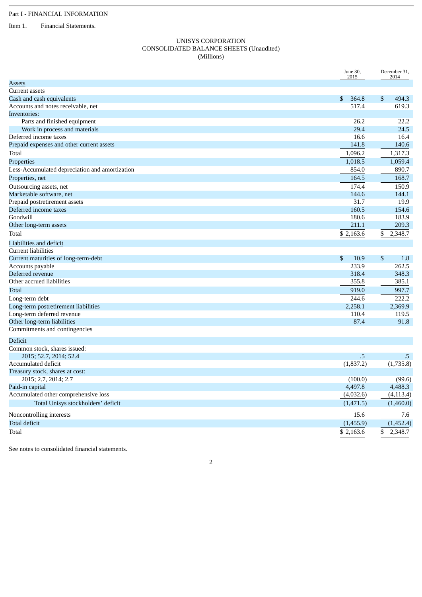## Part I - FINANCIAL INFORMATION

Item 1. Financial Statements.

## UNISYS CORPORATION CONSOLIDATED BALANCE SHEETS (Unaudited) (Millions)

|                                                | June 30,<br>2015 | December 31,<br>2014 |
|------------------------------------------------|------------------|----------------------|
| Assets                                         |                  |                      |
| Current assets                                 |                  |                      |
| Cash and cash equivalents                      | \$<br>364.8      | $\$$<br>494.3        |
| Accounts and notes receivable, net             | 517.4            | 619.3                |
| Inventories:                                   |                  |                      |
| Parts and finished equipment                   | 26.2             | 22.2                 |
| Work in process and materials                  | 29.4             | 24.5                 |
| Deferred income taxes                          | 16.6             | 16.4                 |
| Prepaid expenses and other current assets      | 141.8            | 140.6                |
| Total                                          | 1,096.2          | 1,317.3              |
| Properties                                     | 1,018.5          | 1,059.4              |
| Less-Accumulated depreciation and amortization | 854.0            | 890.7                |
| Properties, net                                | 164.5            | 168.7                |
| Outsourcing assets, net                        | 174.4            | 150.9                |
| Marketable software, net                       | 144.6            | 144.1                |
| Prepaid postretirement assets                  | 31.7             | 19.9                 |
| Deferred income taxes                          | 160.5            | 154.6                |
| Goodwill                                       | 180.6            | 183.9                |
| Other long-term assets                         | 211.1            | 209.3                |
| Total                                          | \$2,163.6        | 2,348.7<br>\$        |
| <b>Liabilities and deficit</b>                 |                  |                      |
| <b>Current liabilities</b>                     |                  |                      |
| Current maturities of long-term-debt           | \$<br>10.9       | \$<br>1.8            |
| Accounts payable                               | 233.9            | 262.5                |
| Deferred revenue                               | 318.4            | 348.3                |
| Other accrued liabilities                      | 355.8            | 385.1                |
| Total                                          | 919.0            | 997.7                |
| Long-term debt                                 | 244.6            | 222.2                |
| Long-term postretirement liabilities           | 2,258.1          | 2,369.9              |
| Long-term deferred revenue                     | 110.4            | 119.5                |
| Other long-term liabilities                    | 87.4             | 91.8                 |
| Commitments and contingencies                  |                  |                      |
| Deficit                                        |                  |                      |
| Common stock, shares issued:                   |                  |                      |
| 2015; 52.7, 2014; 52.4                         | .5               | .5                   |
| Accumulated deficit                            | (1,837.2)        | (1,735.8)            |
| Treasury stock, shares at cost:                |                  |                      |
| 2015; 2.7, 2014; 2.7                           | (100.0)          | (99.6)               |
| Paid-in capital                                | 4,497.8          | 4,488.3              |
| Accumulated other comprehensive loss           | (4,032.6)        | (4, 113.4)           |
| Total Unisys stockholders' deficit             | (1, 471.5)       | (1,460.0)            |
| Noncontrolling interests                       | 15.6             | 7.6                  |
| Total deficit                                  | (1,455.9)        | (1,452.4)            |
| Total                                          | \$2,163.6        | \$<br>2,348.7        |

See notes to consolidated financial statements.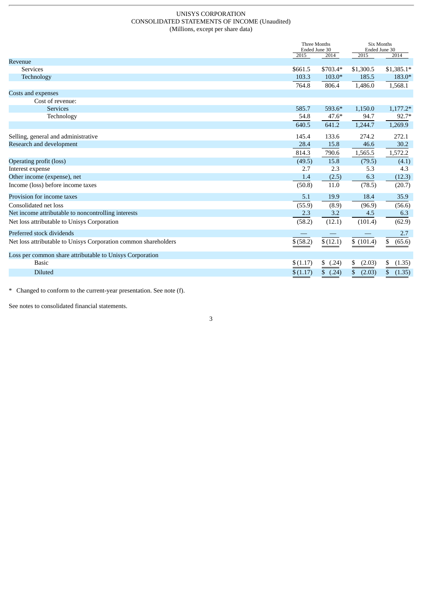#### UNISYS CORPORATION CONSOLIDATED STATEMENTS OF INCOME (Unaudited) (Millions, except per share data)

|                                                                 |           | Three Months<br>Ended June 30 |              | Six Months<br>Ended June 30 |  |
|-----------------------------------------------------------------|-----------|-------------------------------|--------------|-----------------------------|--|
|                                                                 | 2015      | 2014                          | 2015         | 2014                        |  |
| Revenue                                                         |           |                               |              |                             |  |
| <b>Services</b>                                                 | \$661.5   | $$703.4*$                     | \$1,300.5    | $$1,385.1*$                 |  |
| Technology                                                      | 103.3     | 103.0*                        | 185.5        | 183.0*                      |  |
|                                                                 | 764.8     | 806.4                         | 1,486.0      | 1,568.1                     |  |
| Costs and expenses                                              |           |                               |              |                             |  |
| Cost of revenue:                                                |           |                               |              |                             |  |
| <b>Services</b>                                                 | 585.7     | 593.6*                        | 1,150.0      | $1,177.2*$                  |  |
| Technology                                                      | 54.8      | $47.6*$                       | 94.7         | 92.7*                       |  |
|                                                                 | 640.5     | 641.2                         | 1,244.7      | 1,269.9                     |  |
| Selling, general and administrative                             | 145.4     | 133.6                         | 274.2        | 272.1                       |  |
| Research and development                                        | 28.4      | 15.8                          | 46.6         | 30.2                        |  |
|                                                                 | 814.3     | 790.6                         | 1,565.5      | 1,572.2                     |  |
| Operating profit (loss)                                         | (49.5)    | 15.8                          | (79.5)       | (4.1)                       |  |
| Interest expense                                                | 2.7       | 2.3                           | 5.3          | 4.3                         |  |
| Other income (expense), net                                     | 1.4       | (2.5)                         | 6.3          | (12.3)                      |  |
| Income (loss) before income taxes                               | (50.8)    | 11.0                          | (78.5)       | (20.7)                      |  |
| Provision for income taxes                                      | 5.1       | 19.9                          | 18.4         | 35.9                        |  |
| Consolidated net loss                                           | (55.9)    | (8.9)                         | (96.9)       | (56.6)                      |  |
| Net income attributable to noncontrolling interests             | 2.3       | 3.2                           | 4.5          | 6.3                         |  |
| Net loss attributable to Unisys Corporation                     | (58.2)    | (12.1)                        | (101.4)      | (62.9)                      |  |
| Preferred stock dividends                                       |           |                               |              | 2.7                         |  |
| Net loss attributable to Unisys Corporation common shareholders | \$ (58.2) | \$(12.1)                      | \$(101.4)    | \$<br>(65.6)                |  |
| Loss per common share attributable to Unisys Corporation        |           |                               |              |                             |  |
| <b>Basic</b>                                                    | \$(1.17)  | (.24)<br>\$                   | \$<br>(2.03) | \$<br>(1.35)                |  |
| <b>Diluted</b>                                                  | \$(1.17)  | \$<br>(.24)                   | \$<br>(2.03) | \$<br>(1.35)                |  |

\* Changed to conform to the current-year presentation. See note (f).

See notes to consolidated financial statements.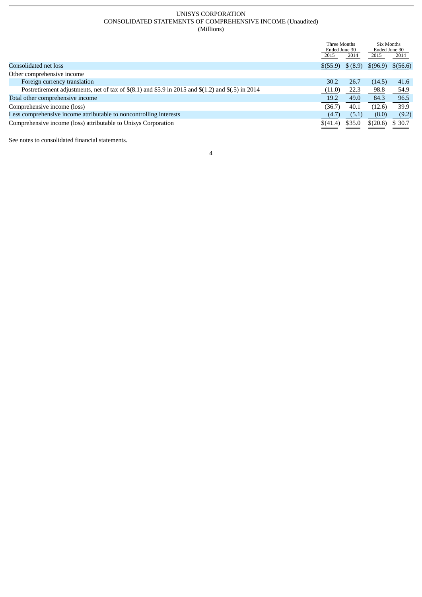#### UNISYS CORPORATION CONSOLIDATED STATEMENTS OF COMPREHENSIVE INCOME (Unaudited) (Millions)

|                                                                                                    | Three Months<br>Ended June 30 |          | <b>Six Months</b><br>Ended June 30 |          |
|----------------------------------------------------------------------------------------------------|-------------------------------|----------|------------------------------------|----------|
|                                                                                                    | 2015                          | 2014     | 2015                               | 2014     |
| Consolidated net loss                                                                              | \$(55.9)                      | \$ (8.9) | \$(96.9)                           | \$(56.6) |
| Other comprehensive income                                                                         |                               |          |                                    |          |
| Foreign currency translation                                                                       | 30.2                          | 26.7     | (14.5)                             | 41.6     |
| Postretirement adjustments, net of tax of \$(8.1) and \$5.9 in 2015 and \$(1.2) and \$(.5) in 2014 | (11.0)                        | 22.3     | 98.8                               | 54.9     |
| Total other comprehensive income                                                                   | 19.2                          | 49.0     | 84.3                               | 96.5     |
| Comprehensive income (loss)                                                                        | (36.7)                        | 40.1     | (12.6)                             | 39.9     |
| Less comprehensive income attributable to noncontrolling interests                                 | (4.7)                         | (5.1)    | (8.0)                              | (9.2)    |
| Comprehensive income (loss) attributable to Unisys Corporation                                     | \$(41.4)                      | \$35.0   | \$(20.6)                           | \$ 30.7  |

See notes to consolidated financial statements.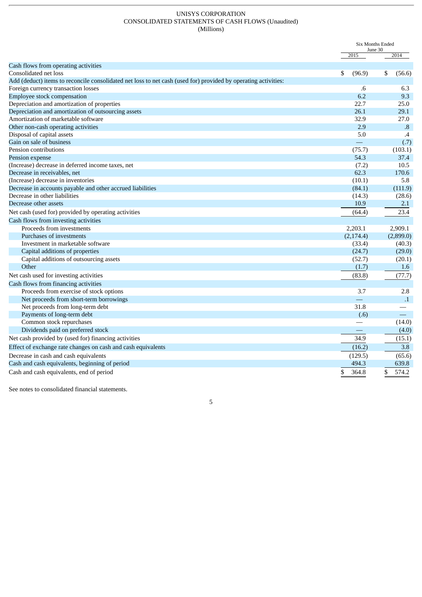#### UNISYS CORPORATION CONSOLIDATED STATEMENTS OF CASH FLOWS (Unaudited) (Millions)

|                                                                                                                | <b>Six Months Ended</b><br>June 30 |                   |
|----------------------------------------------------------------------------------------------------------------|------------------------------------|-------------------|
|                                                                                                                | 2015                               | 2014              |
| Cash flows from operating activities                                                                           |                                    |                   |
| Consolidated net loss                                                                                          | \$<br>(96.9)                       | \$<br>(56.6)      |
| Add (deduct) items to reconcile consolidated net loss to net cash (used for) provided by operating activities: |                                    |                   |
| Foreign currency transaction losses                                                                            | .6                                 | 6.3               |
| Employee stock compensation                                                                                    | 6.2                                | 9.3               |
| Depreciation and amortization of properties                                                                    | 22.7                               | 25.0              |
| Depreciation and amortization of outsourcing assets                                                            | 26.1                               | 29.1              |
| Amortization of marketable software                                                                            | 32.9                               | 27.0              |
| Other non-cash operating activities                                                                            | 2.9                                | $\boldsymbol{.8}$ |
| Disposal of capital assets                                                                                     | 5.0                                | .4                |
| Gain on sale of business                                                                                       |                                    | (.7)              |
| Pension contributions                                                                                          | (75.7)                             | (103.1)           |
| Pension expense                                                                                                | 54.3                               | 37.4              |
| (Increase) decrease in deferred income taxes, net                                                              | (7.2)                              | 10.5              |
| Decrease in receivables, net                                                                                   | 62.3                               | 170.6             |
| (Increase) decrease in inventories                                                                             | (10.1)                             | 5.8               |
| Decrease in accounts payable and other accrued liabilities                                                     | (84.1)                             | (111.9)           |
| Decrease in other liabilities                                                                                  | (14.3)                             | (28.6)            |
| Decrease other assets                                                                                          | 10.9                               | 2.1               |
| Net cash (used for) provided by operating activities                                                           | (64.4)                             | 23.4              |
| Cash flows from investing activities                                                                           |                                    |                   |
| Proceeds from investments                                                                                      | 2,203.1                            | 2,909.1           |
| Purchases of investments                                                                                       | (2, 174.4)                         | (2,899.0)         |
| Investment in marketable software                                                                              | (33.4)                             | (40.3)            |
| Capital additions of properties                                                                                | (24.7)                             | (29.0)            |
| Capital additions of outsourcing assets                                                                        | (52.7)                             | (20.1)            |
| Other                                                                                                          | (1.7)                              | 1.6               |
| Net cash used for investing activities                                                                         | (83.8)                             | (77.7)            |
| Cash flows from financing activities                                                                           |                                    |                   |
| Proceeds from exercise of stock options                                                                        | 3.7                                | 2.8               |
| Net proceeds from short-term borrowings                                                                        |                                    | $.1\,$            |
| Net proceeds from long-term debt                                                                               | 31.8                               |                   |
| Payments of long-term debt                                                                                     | (.6)                               |                   |
| Common stock repurchases                                                                                       |                                    | (14.0)            |
| Dividends paid on preferred stock                                                                              |                                    | (4.0)             |
| Net cash provided by (used for) financing activities                                                           | 34.9                               | (15.1)            |
| Effect of exchange rate changes on cash and cash equivalents                                                   | (16.2)                             | 3.8               |
| Decrease in cash and cash equivalents                                                                          | (129.5)                            | (65.6)            |
| Cash and cash equivalents, beginning of period                                                                 | 494.3                              | 639.8             |
| Cash and cash equivalents, end of period                                                                       | \$<br>364.8                        | \$<br>574.2       |

See notes to consolidated financial statements.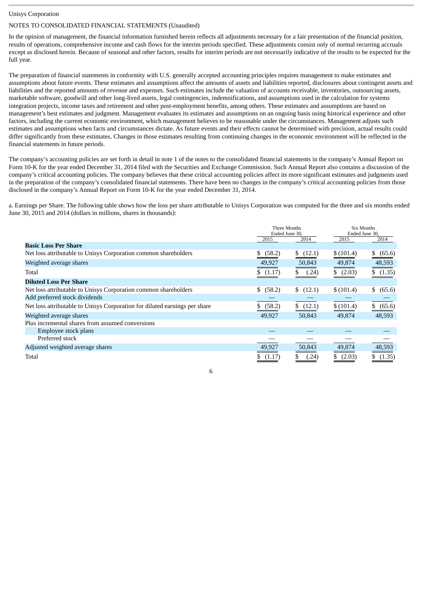#### Unisys Corporation

## NOTES TO CONSOLIDATED FINANCIAL STATEMENTS (Unaudited)

In the opinion of management, the financial information furnished herein reflects all adjustments necessary for a fair presentation of the financial position, results of operations, comprehensive income and cash flows for the interim periods specified. These adjustments consist only of normal recurring accruals except as disclosed herein. Because of seasonal and other factors, results for interim periods are not necessarily indicative of the results to be expected for the full year.

The preparation of financial statements in conformity with U.S. generally accepted accounting principles requires management to make estimates and assumptions about future events. These estimates and assumptions affect the amounts of assets and liabilities reported, disclosures about contingent assets and liabilities and the reported amounts of revenue and expenses. Such estimates include the valuation of accounts receivable, inventories, outsourcing assets, marketable software, goodwill and other long-lived assets, legal contingencies, indemnifications, and assumptions used in the calculation for systems integration projects, income taxes and retirement and other post-employment benefits, among others. These estimates and assumptions are based on management's best estimates and judgment. Management evaluates its estimates and assumptions on an ongoing basis using historical experience and other factors, including the current economic environment, which management believes to be reasonable under the circumstances. Management adjusts such estimates and assumptions when facts and circumstances dictate. As future events and their effects cannot be determined with precision, actual results could differ significantly from these estimates. Changes in those estimates resulting from continuing changes in the economic environment will be reflected in the financial statements in future periods.

The company's accounting policies are set forth in detail in note 1 of the notes to the consolidated financial statements in the company's Annual Report on Form 10-K for the year ended December 31, 2014 filed with the Securities and Exchange Commission. Such Annual Report also contains a discussion of the company's critical accounting policies. The company believes that these critical accounting policies affect its more significant estimates and judgments used in the preparation of the company's consolidated financial statements. There have been no changes in the company's critical accounting policies from those disclosed in the company's Annual Report on Form 10-K for the year ended December 31, 2014.

a. Earnings per Share. The following table shows how the loss per share attributable to Unisys Corporation was computed for the three and six months ended June 30, 2015 and 2014 (dollars in millions, shares in thousands):

|                                                                            |              | Three Months<br>Ended June 30. |             | Six Months<br>Ended June 30, |
|----------------------------------------------------------------------------|--------------|--------------------------------|-------------|------------------------------|
|                                                                            | 2015         | 2014                           | 2015        | 2014                         |
| <b>Basic Loss Per Share</b>                                                |              |                                |             |                              |
| Net loss attributable to Unisys Corporation common shareholders            | (58.2)<br>S. | \$(12.1)                       | \$(101.4)   | S.<br>(65.6)                 |
| Weighted average shares                                                    | 49,927       | 50,843                         | 49,874      | 48,593                       |
| Total                                                                      | (1.17)       | (.24)<br>S.                    | \$(2.03)    | \$(1.35)                     |
| <b>Diluted Loss Per Share</b>                                              |              |                                |             |                              |
| Net loss attributable to Unisys Corporation common shareholders            | \$<br>(58.2) | \$(12.1)                       | \$(101.4)   | \$ (65.6)                    |
| Add preferred stock dividends                                              |              |                                |             |                              |
| Net loss attributable to Unisys Corporation for diluted earnings per share | (58.2)       | \$(12.1)                       | \$(101.4)   | (65.6)                       |
| Weighted average shares                                                    | 49,927       | 50,843                         | 49,874      | 48,593                       |
| Plus incremental shares from assumed conversions                           |              |                                |             |                              |
| Employee stock plans                                                       |              |                                |             |                              |
| Preferred stock                                                            |              |                                |             |                              |
| Adjusted weighted average shares                                           | 49,927       | 50,843                         | 49,874      | 48,593                       |
| Total                                                                      | (1.17)       | (.24)                          | S<br>(2.03) | (1.35)                       |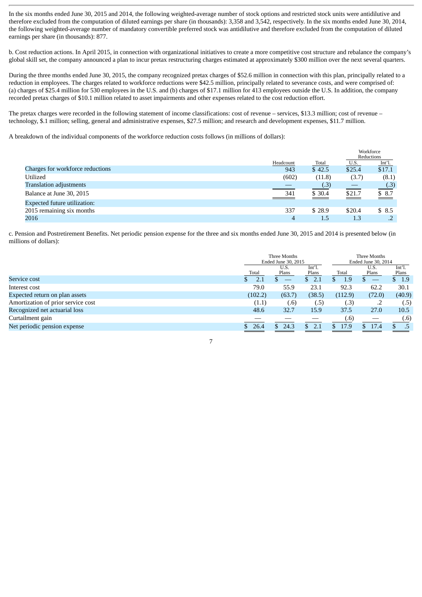In the six months ended June 30, 2015 and 2014, the following weighted-average number of stock options and restricted stock units were antidilutive and therefore excluded from the computation of diluted earnings per share (in thousands): 3,358 and 3,542, respectively. In the six months ended June 30, 2014, the following weighted-average number of mandatory convertible preferred stock was antidilutive and therefore excluded from the computation of diluted earnings per share (in thousands): 877.

b. Cost reduction actions. In April 2015, in connection with organizational initiatives to create a more competitive cost structure and rebalance the company's global skill set, the company announced a plan to incur pretax restructuring charges estimated at approximately \$300 million over the next several quarters.

During the three months ended June 30, 2015, the company recognized pretax charges of \$52.6 million in connection with this plan, principally related to a reduction in employees. The charges related to workforce reductions were \$42.5 million, principally related to severance costs, and were comprised of: (a) charges of \$25.4 million for 530 employees in the U.S. and (b) charges of \$17.1 million for 413 employees outside the U.S. In addition, the company recorded pretax charges of \$10.1 million related to asset impairments and other expenses related to the cost reduction effort.

The pretax charges were recorded in the following statement of income classifications: cost of revenue – services, \$13.3 million; cost of revenue – technology, \$.1 million; selling, general and administrative expenses, \$27.5 million; and research and development expenses, \$11.7 million.

A breakdown of the individual components of the workforce reduction costs follows (in millions of dollars):

|                                     |           |         | Workforce                | Reductions                  |
|-------------------------------------|-----------|---------|--------------------------|-----------------------------|
|                                     | Headcount | Total   | <u>U.S.</u>              |                             |
| Charges for workforce reductions    | 943       | \$42.5  | \$25.4                   | $rac{\text{Int}^2}{\$17.1}$ |
| Utilized                            | (602)     | (11.8)  | (3.7)                    | (8.1)                       |
| <b>Translation adjustments</b>      |           | (0.3)   | $\overline{\phantom{a}}$ | (0.3)                       |
| Balance at June 30, 2015            | 341       | \$ 30.4 | \$21.7                   | $\underline{\$ 8.7}$        |
| <b>Expected future utilization:</b> |           |         |                          |                             |
| 2015 remaining six months           | 337       | \$28.9  | \$20.4                   | \$8.5                       |
| 2016                                | 4         | 1.5     | 1.3                      |                             |

c. Pension and Postretirement Benefits. Net periodic pension expense for the three and six months ended June 30, 2015 and 2014 is presented below (in millions of dollars):

|                                    | Three Months<br>Ended June 30, 2015 |               |                 | Three Months<br>Ended June 30, 2014 |               |                 |
|------------------------------------|-------------------------------------|---------------|-----------------|-------------------------------------|---------------|-----------------|
|                                    | Total                               | U.S.<br>Plans | Int'l.<br>Plans | Total                               | U.S.<br>Plans | Int'l.<br>Plans |
| Service cost                       | 2.1                                 |               | 2.1<br>S.       | 1.9                                 |               | 1.9<br>\$.      |
| Interest cost                      | 79.0                                | 55.9          | 23.1            | 92.3                                | 62.2          | 30.1            |
| Expected return on plan assets     | (102.2)                             | (63.7)        | (38.5)          | (112.9)                             | (72.0)        | (40.9)          |
| Amortization of prior service cost | (1.1)                               | (.6)          | (.5)            | (.3)                                |               | (.5)            |
| Recognized net actuarial loss      | 48.6                                | 32.7          | 15.9            | 37.5                                | 27.0          | 10.5            |
| Curtailment gain                   |                                     |               |                 | (.6)                                |               | (.6)            |
| Net periodic pension expense       | 26.4                                | 24.3          | \$.<br>2.1      | 17.9<br>SS.                         | 17.4          |                 |

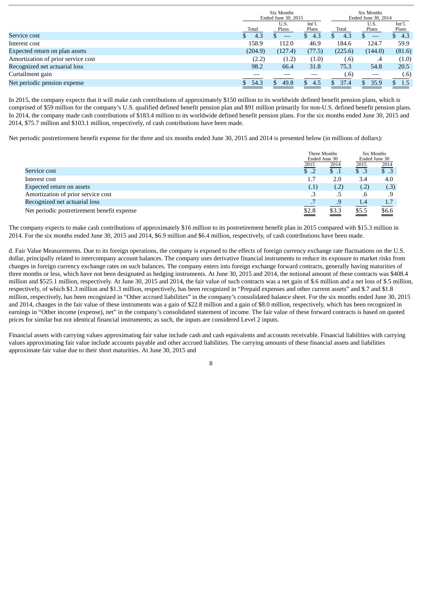| Six Months<br>Ended June 30, 2015 |               |                 |                      |                       |                                   |
|-----------------------------------|---------------|-----------------|----------------------|-----------------------|-----------------------------------|
| Total                             | U.S.<br>Plans | Int'l.<br>Plans | Total                | U.S.<br>Plans         | Int'l.<br>Plans                   |
| 4.3                               |               | 4.3<br>S.       | 4.3                  |                       | 4.3                               |
| 158.9                             | 112.0         | 46.9            | 184.6                | 124.7                 | 59.9                              |
| (204.9)                           | (127.4)       | (77.5)          | (225.6)              | (144.0)               | (81.6)                            |
| (2.2)                             | (1.2)         | (1.0)           | (.6)                 | .4                    | (1.0)                             |
| 98.2                              | 66.4          | 31.8            | 75.3                 | 54.8                  | 20.5                              |
|                                   |               |                 | (.6)                 |                       | (.6)                              |
| 54.3<br>\$.                       | 49.8<br>S.    | \$4.5           | 37.4<br>$\mathbf{s}$ | 35.9<br><sup>\$</sup> | 1.5                               |
|                                   |               |                 |                      |                       | Six Months<br>Ended June 30, 2014 |

In 2015, the company expects that it will make cash contributions of approximately \$150 million to its worldwide defined benefit pension plans, which is comprised of \$59 million for the company's U.S. qualified defined benefit pension plan and \$91 million primarily for non-U.S. defined benefit pension plans. In 2014, the company made cash contributions of \$183.4 million to its worldwide defined benefit pension plans. For the six months ended June 30, 2015 and 2014, \$75.7 million and \$103.1 million, respectively, of cash contributions have been made.

Net periodic postretirement benefit expense for the three and six months ended June 30, 2015 and 2014 is presented below (in millions of dollars):

|                                             |                 | Three Months<br>Ended June 30 |                 | Six Months<br>Ended June 30 |
|---------------------------------------------|-----------------|-------------------------------|-----------------|-----------------------------|
|                                             | 2015            | 2014                          | 2015            | 2014                        |
| Service cost                                | $\textsf{S}$ .2 | $\texttt{\$}$ .1              | $\textbf{S}$ .3 | \$.3                        |
| Interest cost                               | 1.7             | 2.0                           | 3.4             | 4.0                         |
| Expected return on assets                   | (.1)            | (.2)                          | (.2)            | (.3)                        |
| Amortization of prior service cost          | .3              | .5                            | .6              |                             |
| Recognized net actuarial loss               |                 | .9                            | 1.4             | 1.7                         |
| Net periodic postretirement benefit expense | \$2.8           | \$3.3                         | \$5.5           | \$6.6                       |

The company expects to make cash contributions of approximately \$16 million to its postretirement benefit plan in 2015 compared with \$15.3 million in 2014. For the six months ended June 30, 2015 and 2014, \$6.9 million and \$6.4 million, respectively, of cash contributions have been made.

d. Fair Value Measurements. Due to its foreign operations, the company is exposed to the effects of foreign currency exchange rate fluctuations on the U.S. dollar, principally related to intercompany account balances. The company uses derivative financial instruments to reduce its exposure to market risks from changes in foreign currency exchange rates on such balances. The company enters into foreign exchange forward contracts, generally having maturities of three months or less, which have not been designated as hedging instruments. At June 30, 2015 and 2014, the notional amount of these contracts was \$408.4 million and \$525.1 million, respectively. At June 30, 2015 and 2014, the fair value of such contracts was a net gain of \$.6 million and a net loss of \$.5 million, respectively, of which \$1.3 million and \$1.3 million, respectively, has been recognized in "Prepaid expenses and other current assets" and \$.7 and \$1.8 million, respectively, has been recognized in "Other accrued liabilities" in the company's consolidated balance sheet. For the six months ended June 30, 2015 and 2014, changes in the fair value of these instruments was a gain of \$22.8 million and a gain of \$8.0 million, respectively, which has been recognized in earnings in "Other income (expense), net" in the company's consolidated statement of income. The fair value of these forward contracts is based on quoted prices for similar but not identical financial instruments; as such, the inputs are considered Level 2 inputs.

Financial assets with carrying values approximating fair value include cash and cash equivalents and accounts receivable. Financial liabilities with carrying values approximating fair value include accounts payable and other accrued liabilities. The carrying amounts of these financial assets and liabilities approximate fair value due to their short maturities. At June 30, 2015 and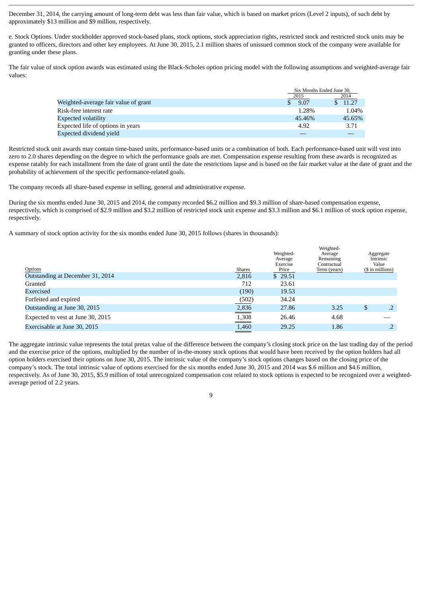December 31, 2014, the carrying amount of long-term debt was less than fair value, which is based on market prices (Level 2 inputs), of such debt by approximately \$13 million and \$9 million, respectively.

e. Stock Options. Under stockholder approved stock-based plans, stock options, stock appreciation rights, restricted stock and restricted stock units may be granted to officers, directors and other key employees. At June 30, 2015, 2.1 million shares of unissued common stock of the company were available for granting under these plans.

The fair value of stock option awards was estimated using the Black-Scholes option pricing model with the following assumptions and weighted-average fair values:

|                                      | Six Months Ended June 30, |         |
|--------------------------------------|---------------------------|---------|
|                                      | 2015                      | 2014    |
| Weighted-average fair value of grant | 9.07                      | \$11.27 |
| Risk-free interest rate              | 1.28%                     | 1.04%   |
| <b>Expected volatility</b>           | 45.46%                    | 45.65%  |
| Expected life of options in years    | 4.92                      | 3.71    |
| Expected dividend yield              |                           |         |

Restricted stock unit awards may contain time-based units, performance-based units or a combination of both. Each performance-based unit will vest into zero to 2.0 shares depending on the degree to which the performance goals are met. Compensation expense resulting from these awards is recognized as expense ratably for each installment from the date of grant until the date the restrictions lapse and is based on the fair market value at the date of grant and the probability of achievement of the specific performance-related goals.

The company records all share-based expense in selling, general and administrative expense.

During the six months ended June 30, 2015 and 2014, the company recorded \$6.2 million and \$9.3 million of share-based compensation expense, respectively, which is comprised of \$2.9 million and \$3.2 million of restricted stock unit expense and \$3.3 million and \$6.1 million of stock option expense, respectively.

A summary of stock option activity for the six months ended June 30, 2015 follows (shares in thousands):

| Options                           | <b>Shares</b> | Weighted-<br>Average<br>Exercise<br>Price | Weighted-<br>Average<br>Remaining<br>Contractual<br>Term (years) | Aggregate<br>Intrinsic<br>Value<br>(\$ in millions) |
|-----------------------------------|---------------|-------------------------------------------|------------------------------------------------------------------|-----------------------------------------------------|
| Outstanding at December 31, 2014  | 2,816         | \$29.51                                   |                                                                  |                                                     |
| Granted                           | 712           | 23.61                                     |                                                                  |                                                     |
| Exercised                         | (190)         | 19.53                                     |                                                                  |                                                     |
| Forfeited and expired             | (502)         | 34.24                                     |                                                                  |                                                     |
| Outstanding at June 30, 2015      | 2,836         | 27.86                                     | 3.25                                                             | \$<br>$\cdot$ .2                                    |
| Expected to vest at June 30, 2015 | 1,308         | 26.46                                     | 4.68                                                             |                                                     |
| Exercisable at June 30, 2015      | 1,460         | 29.25                                     | 1.86                                                             | $\cdot$ .2                                          |

The aggregate intrinsic value represents the total pretax value of the difference between the company's closing stock price on the last trading day of the period and the exercise price of the options, multiplied by the number of in-the-money stock options that would have been received by the option holders had all option holders exercised their options on June 30, 2015. The intrinsic value of the company's stock options changes based on the closing price of the company's stock. The total intrinsic value of options exercised for the six months ended June 30, 2015 and 2014 was \$.6 million and \$4.6 million, respectively. As of June 30, 2015, \$5.9 million of total unrecognized compensation cost related to stock options is expected to be recognized over a weightedaverage period of 2.2 years.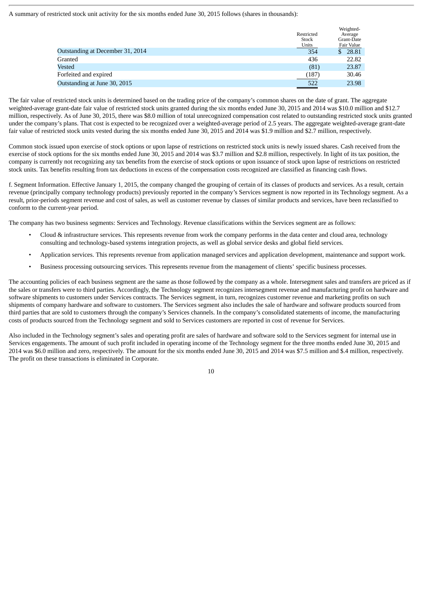A summary of restricted stock unit activity for the six months ended June 30, 2015 follows (shares in thousands):

|                                  |            | Weighted-             |
|----------------------------------|------------|-----------------------|
|                                  | Restricted | Average               |
|                                  | Stock      | Grant-Date            |
|                                  | Units      | Fair Value            |
| Outstanding at December 31, 2014 | 354        | 28.81<br>$\mathbf{s}$ |
| Granted                          | 436        | 22.82                 |
| Vested                           | (81)       | 23.87                 |
| Forfeited and expired            | (187       | 30.46                 |
| Outstanding at June 30, 2015     | 522        | 23.98                 |

The fair value of restricted stock units is determined based on the trading price of the company's common shares on the date of grant. The aggregate weighted-average grant-date fair value of restricted stock units granted during the six months ended June 30, 2015 and 2014 was \$10.0 million and \$12.7 million, respectively. As of June 30, 2015, there was \$8.0 million of total unrecognized compensation cost related to outstanding restricted stock units granted under the company's plans. That cost is expected to be recognized over a weighted-average period of 2.5 years. The aggregate weighted-average grant-date fair value of restricted stock units vested during the six months ended June 30, 2015 and 2014 was \$1.9 million and \$2.7 million, respectively.

Common stock issued upon exercise of stock options or upon lapse of restrictions on restricted stock units is newly issued shares. Cash received from the exercise of stock options for the six months ended June 30, 2015 and 2014 was \$3.7 million and \$2.8 million, respectively. In light of its tax position, the company is currently not recognizing any tax benefits from the exercise of stock options or upon issuance of stock upon lapse of restrictions on restricted stock units. Tax benefits resulting from tax deductions in excess of the compensation costs recognized are classified as financing cash flows.

f. Segment Information. Effective January 1, 2015, the company changed the grouping of certain of its classes of products and services. As a result, certain revenue (principally company technology products) previously reported in the company's Services segment is now reported in its Technology segment. As a result, prior-periods segment revenue and cost of sales, as well as customer revenue by classes of similar products and services, have been reclassified to conform to the current-year period.

The company has two business segments: Services and Technology. Revenue classifications within the Services segment are as follows:

- Cloud & infrastructure services. This represents revenue from work the company performs in the data center and cloud area, technology consulting and technology-based systems integration projects, as well as global service desks and global field services.
- Application services. This represents revenue from application managed services and application development, maintenance and support work.
- Business processing outsourcing services. This represents revenue from the management of clients' specific business processes.

The accounting policies of each business segment are the same as those followed by the company as a whole. Intersegment sales and transfers are priced as if the sales or transfers were to third parties. Accordingly, the Technology segment recognizes intersegment revenue and manufacturing profit on hardware and software shipments to customers under Services contracts. The Services segment, in turn, recognizes customer revenue and marketing profits on such shipments of company hardware and software to customers. The Services segment also includes the sale of hardware and software products sourced from third parties that are sold to customers through the company's Services channels. In the company's consolidated statements of income, the manufacturing costs of products sourced from the Technology segment and sold to Services customers are reported in cost of revenue for Services.

Also included in the Technology segment's sales and operating profit are sales of hardware and software sold to the Services segment for internal use in Services engagements. The amount of such profit included in operating income of the Technology segment for the three months ended June 30, 2015 and 2014 was \$6.0 million and zero, respectively. The amount for the six months ended June 30, 2015 and 2014 was \$7.5 million and \$.4 million, respectively. The profit on these transactions is eliminated in Corporate.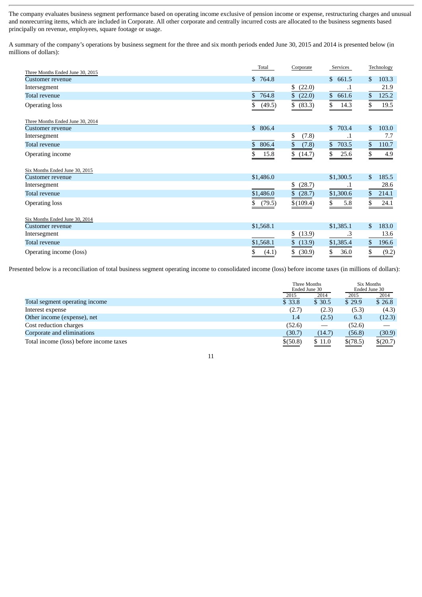The company evaluates business segment performance based on operating income exclusive of pension income or expense, restructuring charges and unusual and nonrecurring items, which are included in Corporate. All other corporate and centrally incurred costs are allocated to the business segments based principally on revenue, employees, square footage or usage.

A summary of the company's operations by business segment for the three and six month periods ended June 30, 2015 and 2014 is presented below (in millions of dollars):

|                                  | Total        | Corporate    | Services    | Technology  |
|----------------------------------|--------------|--------------|-------------|-------------|
| Three Months Ended June 30, 2015 |              |              |             |             |
| Customer revenue                 | \$<br>764.8  |              | \$<br>661.5 | \$<br>103.3 |
| Intersegment                     |              | \$<br>(22.0) | $\cdot$     | 21.9        |
| Total revenue                    | \$<br>764.8  | \$<br>(22.0) | \$<br>661.6 | \$<br>125.2 |
| <b>Operating loss</b>            | (49.5)<br>\$ | (83.3)<br>\$ | \$<br>14.3  | 19.5        |
| Three Months Ended June 30, 2014 |              |              |             |             |
| Customer revenue                 | \$<br>806.4  |              | \$<br>703.4 | \$<br>103.0 |
| Intersegment                     |              | \$<br>(7.8)  | .1          | 7.7         |
| Total revenue                    | \$<br>806.4  | \$<br>(7.8)  | 703.5<br>\$ | \$<br>110.7 |
| Operating income                 | \$<br>15.8   | \$(14.7)     | \$<br>25.6  | 4.9         |
| Six Months Ended June 30, 2015   |              |              |             |             |
| Customer revenue                 | \$1,486.0    |              | \$1,300.5   | \$<br>185.5 |
| Intersegment                     |              | \$<br>(28.7) | $\cdot$     | 28.6        |
| Total revenue                    | \$1,486.0    | \$<br>(28.7) | \$1,300.6   | \$<br>214.1 |
| <b>Operating loss</b>            | \$<br>(79.5) | \$(109.4)    | \$<br>5.8   | \$<br>24.1  |
| Six Months Ended June 30, 2014   |              |              |             |             |
| Customer revenue                 | \$1,568.1    |              | \$1,385.1   | \$<br>183.0 |
| Intersegment                     |              | \$<br>(13.9) | .3          | 13.6        |
| Total revenue                    | \$1,568.1    | \$<br>(13.9) | \$1,385.4   | \$<br>196.6 |
| Operating income (loss)          | \$<br>(4.1)  | \$<br>(30.9) | \$<br>36.0  | \$<br>(9.2) |

Presented below is a reconciliation of total business segment operating income to consolidated income (loss) before income taxes (in millions of dollars):

|                                         |                     | Three Months<br>Ended June 30 |                     | Six Months<br>Ended June 30 |
|-----------------------------------------|---------------------|-------------------------------|---------------------|-----------------------------|
|                                         | 2015                | 2014                          | 2015                | 2014                        |
| Total segment operating income          | \$33.8              | \$30.5                        | \$29.9              | \$26.8                      |
| Interest expense                        | (2.7)               | (2.3)                         | (5.3)               | (4.3)                       |
| Other income (expense), net             | 1.4                 | (2.5)                         | 6.3                 | (12.3)                      |
| Cost reduction charges                  | (52.6)              |                               | (52.6)              |                             |
| Corporate and eliminations              | (30.7)              | (14.7)                        | (56.8)              | (30.9)                      |
| Total income (loss) before income taxes | $\frac{$(50.8)}{2}$ | $\underbrace{11.0}$           | $\frac{$(78.5)}{4}$ | $\frac{$(20.7)}{2}$         |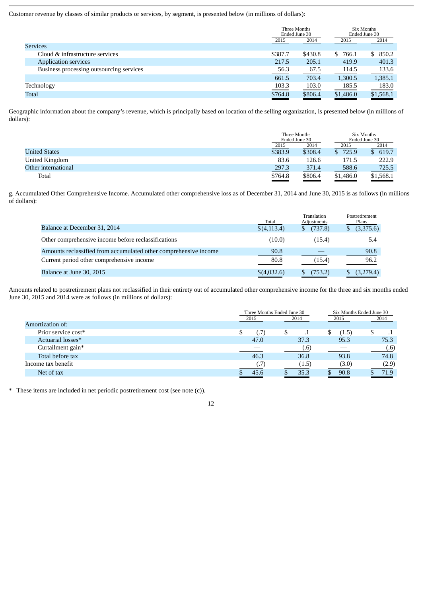Customer revenue by classes of similar products or services, by segment, is presented below (in millions of dollars):

|                                          |         | Three Months<br>Ended June 30 |           | Six Months<br>Ended June 30 |
|------------------------------------------|---------|-------------------------------|-----------|-----------------------------|
|                                          | 2015    | 2014                          | 2015      | 2014                        |
| <b>Services</b>                          |         |                               |           |                             |
| Cloud & infrastructure services          | \$387.7 | \$430.8                       | \$ 766.1  | \$850.2                     |
| <b>Application services</b>              | 217.5   | 205.1                         | 419.9     | 401.3                       |
| Business processing outsourcing services | 56.3    | 67.5                          | 114.5     | 133.6                       |
|                                          | 661.5   | 703.4                         | 1,300.5   | 1,385.1                     |
| Technology                               | 103.3   | 103.0                         | 185.5     | 183.0                       |
| Total                                    | \$764.8 | \$806.4                       | \$1,486.0 | \$1,568.1                   |
|                                          |         |                               |           |                             |

Geographic information about the company's revenue, which is principally based on location of the selling organization, is presented below (in millions of dollars):

|                      |         | Three Months<br>Ended June 30 |             | Six Months<br>Ended June 30 |  |  |
|----------------------|---------|-------------------------------|-------------|-----------------------------|--|--|
|                      | 2015    | 2014                          | 2015        | 2014                        |  |  |
| <b>United States</b> | \$383.9 | \$308.4                       | 725.9<br>\$ | 619.7                       |  |  |
| United Kingdom       | 83.6    | 126.6                         | 171.5       | 222.9                       |  |  |
| Other international  | 297.3   | 371.4                         | 588.6       | 725.5                       |  |  |
| Total                | \$764.8 | \$806.4                       | \$1,486.0   | \$1,568.1                   |  |  |

g. Accumulated Other Comprehensive Income. Accumulated other comprehensive loss as of December 31, 2014 and June 30, 2015 is as follows (in millions of dollars):

|                                                                  | Total       | Translation<br>Adjustments | Postretirement<br>Plans |
|------------------------------------------------------------------|-------------|----------------------------|-------------------------|
| Balance at December 31, 2014                                     | \$(4,113.4) | (737.8)                    | (3,375.6)               |
| Other comprehensive income before reclassifications              | (10.0)      | (15.4)                     | 5.4                     |
| Amounts reclassified from accumulated other comprehensive income | 90.8        |                            | 90.8                    |
| Current period other comprehensive income                        | 80.8        | (15.4)                     | 96.2                    |
| Balance at June 30, 2015                                         | \$(4,032.6) | (753.2)                    | (3,279.4)               |

Amounts related to postretirement plans not reclassified in their entirety out of accumulated other comprehensive income for the three and six months ended June 30, 2015 and 2014 were as follows (in millions of dollars):

|                     |                  | Three Months Ended June 30 |       | Six Months Ended June 30 |
|---------------------|------------------|----------------------------|-------|--------------------------|
|                     | 2015             | 2014                       | 2015  | 2014                     |
| Amortization of:    |                  |                            |       |                          |
| Prior service cost* | $^{7.71}$<br>\$. | S                          | (1.5) |                          |
| Actuarial losses*   | 47.0             | 37.3                       | 95.3  | 75.3                     |
| Curtailment gain*   |                  | (6)                        |       | (.6)                     |
| Total before tax    | 46.3             | 36.8                       | 93.8  | 74.8                     |
| Income tax benefit  |                  | (1.5)                      | (3.0) | (2.9)                    |
| Net of tax          | 45.6             | 35.3                       | 90.8  | 71.9                     |
|                     |                  |                            |       |                          |

\* These items are included in net periodic postretirement cost (see note (c)).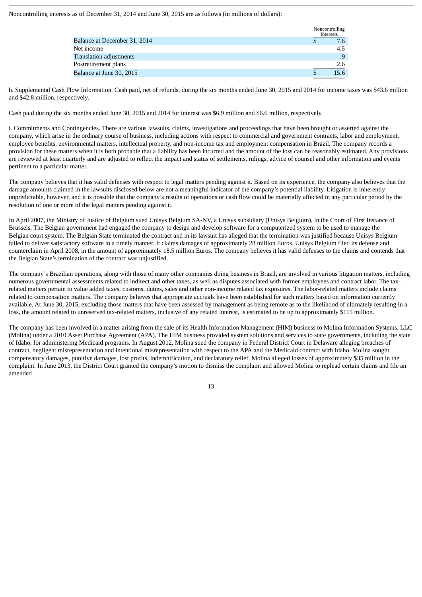Noncontrolling interests as of December 31, 2014 and June 30, 2015 are as follows (in millions of dollars):

|                                |    | Noncontrolling<br>Interests |
|--------------------------------|----|-----------------------------|
| Balance at December 31, 2014   | \$ | 7.6                         |
| Net income                     |    | 4.5                         |
| <b>Translation adjustments</b> |    | .9                          |
| Postretirement plans           |    | 2.6                         |
| Balance at June 30, 2015       | S  | 15.6                        |

h. Supplemental Cash Flow Information. Cash paid, net of refunds, during the six months ended June 30, 2015 and 2014 for income taxes was \$43.6 million and \$42.8 million, respectively.

Cash paid during the six months ended June 30, 2015 and 2014 for interest was \$6.9 million and \$6.6 million, respectively.

i. Commitments and Contingencies. There are various lawsuits, claims, investigations and proceedings that have been brought or asserted against the company, which arise in the ordinary course of business, including actions with respect to commercial and government contracts, labor and employment, employee benefits, environmental matters, intellectual property, and non-income tax and employment compensation in Brazil. The company records a provision for these matters when it is both probable that a liability has been incurred and the amount of the loss can be reasonably estimated. Any provisions are reviewed at least quarterly and are adjusted to reflect the impact and status of settlements, rulings, advice of counsel and other information and events pertinent to a particular matter.

The company believes that it has valid defenses with respect to legal matters pending against it. Based on its experience, the company also believes that the damage amounts claimed in the lawsuits disclosed below are not a meaningful indicator of the company's potential liability. Litigation is inherently unpredictable, however, and it is possible that the company's results of operations or cash flow could be materially affected in any particular period by the resolution of one or more of the legal matters pending against it.

In April 2007, the Ministry of Justice of Belgium sued Unisys Belgium SA-NV, a Unisys subsidiary (Unisys Belgium), in the Court of First Instance of Brussels. The Belgian government had engaged the company to design and develop software for a computerized system to be used to manage the Belgian court system. The Belgian State terminated the contract and in its lawsuit has alleged that the termination was justified because Unisys Belgium failed to deliver satisfactory software in a timely manner. It claims damages of approximately 28 million Euros. Unisys Belgium filed its defense and counterclaim in April 2008, in the amount of approximately 18.5 million Euros. The company believes it has valid defenses to the claims and contends that the Belgian State's termination of the contract was unjustified.

The company's Brazilian operations, along with those of many other companies doing business in Brazil, are involved in various litigation matters, including numerous governmental assessments related to indirect and other taxes, as well as disputes associated with former employees and contract labor. The taxrelated matters pertain to value added taxes, customs, duties, sales and other non-income related tax exposures. The labor-related matters include claims related to compensation matters. The company believes that appropriate accruals have been established for such matters based on information currently available. At June 30, 2015, excluding those matters that have been assessed by management as being remote as to the likelihood of ultimately resulting in a loss, the amount related to unreserved tax-related matters, inclusive of any related interest, is estimated to be up to approximately \$115 million.

The company has been involved in a matter arising from the sale of its Health Information Management (HIM) business to Molina Information Systems, LLC (Molina) under a 2010 Asset Purchase Agreement (APA). The HIM business provided system solutions and services to state governments, including the state of Idaho, for administering Medicaid programs. In August 2012, Molina sued the company in Federal District Court in Delaware alleging breaches of contract, negligent misrepresentation and intentional misrepresentation with respect to the APA and the Medicaid contract with Idaho. Molina sought compensatory damages, punitive damages, lost profits, indemnification, and declaratory relief. Molina alleged losses of approximately \$35 million in the complaint. In June 2013, the District Court granted the company's motion to dismiss the complaint and allowed Molina to replead certain claims and file an amended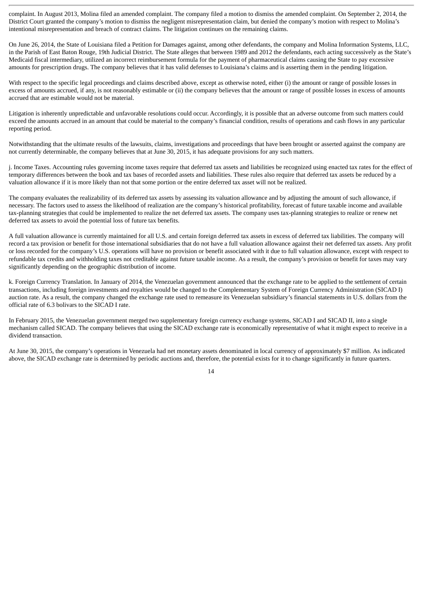complaint. In August 2013, Molina filed an amended complaint. The company filed a motion to dismiss the amended complaint. On September 2, 2014, the District Court granted the company's motion to dismiss the negligent misrepresentation claim, but denied the company's motion with respect to Molina's intentional misrepresentation and breach of contract claims. The litigation continues on the remaining claims.

On June 26, 2014, the State of Louisiana filed a Petition for Damages against, among other defendants, the company and Molina Information Systems, LLC, in the Parish of East Baton Rouge, 19th Judicial District. The State alleges that between 1989 and 2012 the defendants, each acting successively as the State's Medicaid fiscal intermediary, utilized an incorrect reimbursement formula for the payment of pharmaceutical claims causing the State to pay excessive amounts for prescription drugs. The company believes that it has valid defenses to Louisiana's claims and is asserting them in the pending litigation.

With respect to the specific legal proceedings and claims described above, except as otherwise noted, either (i) the amount or range of possible losses in excess of amounts accrued, if any, is not reasonably estimable or (ii) the company believes that the amount or range of possible losses in excess of amounts accrued that are estimable would not be material.

Litigation is inherently unpredictable and unfavorable resolutions could occur. Accordingly, it is possible that an adverse outcome from such matters could exceed the amounts accrued in an amount that could be material to the company's financial condition, results of operations and cash flows in any particular reporting period.

Notwithstanding that the ultimate results of the lawsuits, claims, investigations and proceedings that have been brought or asserted against the company are not currently determinable, the company believes that at June 30, 2015, it has adequate provisions for any such matters.

j. Income Taxes. Accounting rules governing income taxes require that deferred tax assets and liabilities be recognized using enacted tax rates for the effect of temporary differences between the book and tax bases of recorded assets and liabilities. These rules also require that deferred tax assets be reduced by a valuation allowance if it is more likely than not that some portion or the entire deferred tax asset will not be realized.

The company evaluates the realizability of its deferred tax assets by assessing its valuation allowance and by adjusting the amount of such allowance, if necessary. The factors used to assess the likelihood of realization are the company's historical profitability, forecast of future taxable income and available tax-planning strategies that could be implemented to realize the net deferred tax assets. The company uses tax-planning strategies to realize or renew net deferred tax assets to avoid the potential loss of future tax benefits.

A full valuation allowance is currently maintained for all U.S. and certain foreign deferred tax assets in excess of deferred tax liabilities. The company will record a tax provision or benefit for those international subsidiaries that do not have a full valuation allowance against their net deferred tax assets. Any profit or loss recorded for the company's U.S. operations will have no provision or benefit associated with it due to full valuation allowance, except with respect to refundable tax credits and withholding taxes not creditable against future taxable income. As a result, the company's provision or benefit for taxes may vary significantly depending on the geographic distribution of income.

k. Foreign Currency Translation. In January of 2014, the Venezuelan government announced that the exchange rate to be applied to the settlement of certain transactions, including foreign investments and royalties would be changed to the Complementary System of Foreign Currency Administration (SICAD I) auction rate. As a result, the company changed the exchange rate used to remeasure its Venezuelan subsidiary's financial statements in U.S. dollars from the official rate of 6.3 bolivars to the SICAD I rate.

In February 2015, the Venezuelan government merged two supplementary foreign currency exchange systems, SICAD I and SICAD II, into a single mechanism called SICAD. The company believes that using the SICAD exchange rate is economically representative of what it might expect to receive in a dividend transaction.

At June 30, 2015, the company's operations in Venezuela had net monetary assets denominated in local currency of approximately \$7 million. As indicated above, the SICAD exchange rate is determined by periodic auctions and, therefore, the potential exists for it to change significantly in future quarters.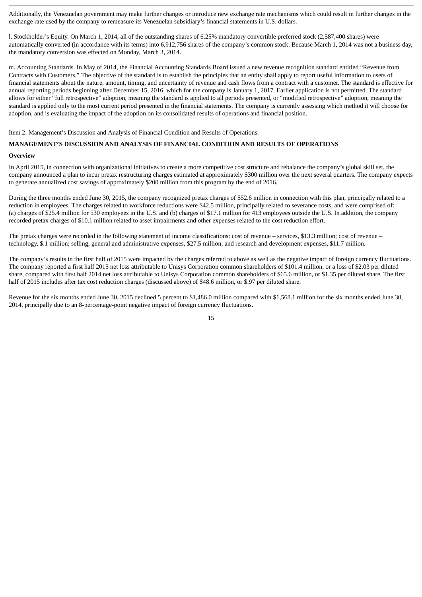Additionally, the Venezuelan government may make further changes or introduce new exchange rate mechanisms which could result in further changes in the exchange rate used by the company to remeasure its Venezuelan subsidiary's financial statements in U.S. dollars.

l. Stockholder's Equity. On March 1, 2014, all of the outstanding shares of 6.25% mandatory convertible preferred stock (2,587,400 shares) were automatically converted (in accordance with its terms) into 6,912,756 shares of the company's common stock. Because March 1, 2014 was not a business day, the mandatory conversion was effected on Monday, March 3, 2014.

m. Accounting Standards. In May of 2014, the Financial Accounting Standards Board issued a new revenue recognition standard entitled "Revenue from Contracts with Customers." The objective of the standard is to establish the principles that an entity shall apply to report useful information to users of financial statements about the nature, amount, timing, and uncertainty of revenue and cash flows from a contract with a customer. The standard is effective for annual reporting periods beginning after December 15, 2016, which for the company is January 1, 2017. Earlier application is not permitted. The standard allows for either "full retrospective" adoption, meaning the standard is applied to all periods presented, or "modified retrospective" adoption, meaning the standard is applied only to the most current period presented in the financial statements. The company is currently assessing which method it will choose for adoption, and is evaluating the impact of the adoption on its consolidated results of operations and financial position.

Item 2. Management's Discussion and Analysis of Financial Condition and Results of Operations.

## **MANAGEMENT'S DISCUSSION AND ANALYSIS OF FINANCIAL CONDITION AND RESULTS OF OPERATIONS**

#### **Overview**

In April 2015, in connection with organizational initiatives to create a more competitive cost structure and rebalance the company's global skill set, the company announced a plan to incur pretax restructuring charges estimated at approximately \$300 million over the next several quarters. The company expects to generate annualized cost savings of approximately \$200 million from this program by the end of 2016.

During the three months ended June 30, 2015, the company recognized pretax charges of \$52.6 million in connection with this plan, principally related to a reduction in employees. The charges related to workforce reductions were \$42.5 million, principally related to severance costs, and were comprised of: (a) charges of \$25.4 million for 530 employees in the U.S. and (b) charges of \$17.1 million for 413 employees outside the U.S. In addition, the company recorded pretax charges of \$10.1 million related to asset impairments and other expenses related to the cost reduction effort.

The pretax charges were recorded in the following statement of income classifications: cost of revenue – services, \$13.3 million; cost of revenue – technology, \$.1 million; selling, general and administrative expenses, \$27.5 million; and research and development expenses, \$11.7 million.

The company's results in the first half of 2015 were impacted by the charges referred to above as well as the negative impact of foreign currency fluctuations. The company reported a first half 2015 net loss attributable to Unisys Corporation common shareholders of \$101.4 million, or a loss of \$2.03 per diluted share, compared with first half 2014 net loss attributable to Unisys Corporation common shareholders of \$65.6 million, or \$1.35 per diluted share. The first half of 2015 includes after tax cost reduction charges (discussed above) of \$48.6 million, or \$.97 per diluted share.

Revenue for the six months ended June 30, 2015 declined 5 percent to \$1,486.0 million compared with \$1,568.1 million for the six months ended June 30, 2014, principally due to an 8-percentage-point negative impact of foreign currency fluctuations.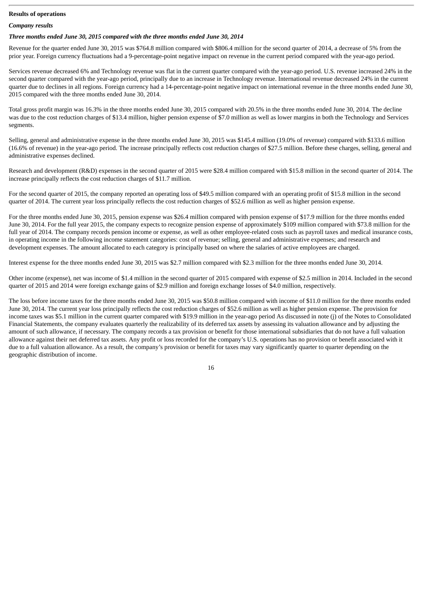#### **Results of operations**

#### *Company results*

#### *Three months ended June 30, 2015 compared with the three months ended June 30, 2014*

Revenue for the quarter ended June 30, 2015 was \$764.8 million compared with \$806.4 million for the second quarter of 2014, a decrease of 5% from the prior year. Foreign currency fluctuations had a 9-percentage-point negative impact on revenue in the current period compared with the year-ago period.

Services revenue decreased 6% and Technology revenue was flat in the current quarter compared with the year-ago period. U.S. revenue increased 24% in the second quarter compared with the year-ago period, principally due to an increase in Technology revenue. International revenue decreased 24% in the current quarter due to declines in all regions. Foreign currency had a 14-percentage-point negative impact on international revenue in the three months ended June 30, 2015 compared with the three months ended June 30, 2014.

Total gross profit margin was 16.3% in the three months ended June 30, 2015 compared with 20.5% in the three months ended June 30, 2014. The decline was due to the cost reduction charges of \$13.4 million, higher pension expense of \$7.0 million as well as lower margins in both the Technology and Services segments.

Selling, general and administrative expense in the three months ended June 30, 2015 was \$145.4 million (19.0% of revenue) compared with \$133.6 million (16.6% of revenue) in the year-ago period. The increase principally reflects cost reduction charges of \$27.5 million. Before these charges, selling, general and administrative expenses declined.

Research and development (R&D) expenses in the second quarter of 2015 were \$28.4 million compared with \$15.8 million in the second quarter of 2014. The increase principally reflects the cost reduction charges of \$11.7 million.

For the second quarter of 2015, the company reported an operating loss of \$49.5 million compared with an operating profit of \$15.8 million in the second quarter of 2014. The current year loss principally reflects the cost reduction charges of \$52.6 million as well as higher pension expense.

For the three months ended June 30, 2015, pension expense was \$26.4 million compared with pension expense of \$17.9 million for the three months ended June 30, 2014. For the full year 2015, the company expects to recognize pension expense of approximately \$109 million compared with \$73.8 million for the full year of 2014. The company records pension income or expense, as well as other employee-related costs such as payroll taxes and medical insurance costs, in operating income in the following income statement categories: cost of revenue; selling, general and administrative expenses; and research and development expenses. The amount allocated to each category is principally based on where the salaries of active employees are charged.

Interest expense for the three months ended June 30, 2015 was \$2.7 million compared with \$2.3 million for the three months ended June 30, 2014.

Other income (expense), net was income of \$1.4 million in the second quarter of 2015 compared with expense of \$2.5 million in 2014. Included in the second quarter of 2015 and 2014 were foreign exchange gains of \$2.9 million and foreign exchange losses of \$4.0 million, respectively.

The loss before income taxes for the three months ended June 30, 2015 was \$50.8 million compared with income of \$11.0 million for the three months ended June 30, 2014. The current year loss principally reflects the cost reduction charges of \$52.6 million as well as higher pension expense. The provision for income taxes was \$5.1 million in the current quarter compared with \$19.9 million in the year-ago period As discussed in note (j) of the Notes to Consolidated Financial Statements, the company evaluates quarterly the realizability of its deferred tax assets by assessing its valuation allowance and by adjusting the amount of such allowance, if necessary. The company records a tax provision or benefit for those international subsidiaries that do not have a full valuation allowance against their net deferred tax assets. Any profit or loss recorded for the company's U.S. operations has no provision or benefit associated with it due to a full valuation allowance. As a result, the company's provision or benefit for taxes may vary significantly quarter to quarter depending on the geographic distribution of income.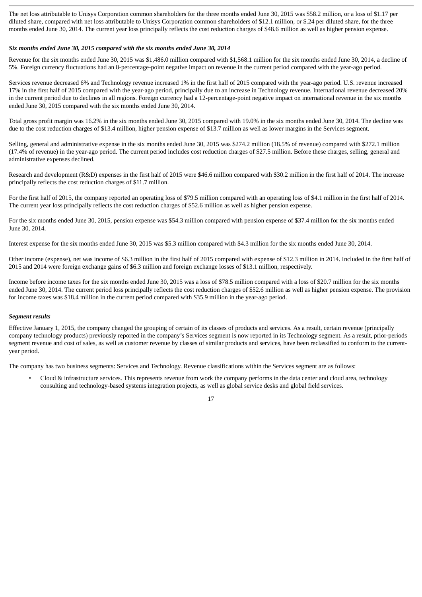The net loss attributable to Unisys Corporation common shareholders for the three months ended June 30, 2015 was \$58.2 million, or a loss of \$1.17 per diluted share, compared with net loss attributable to Unisys Corporation common shareholders of \$12.1 million, or \$.24 per diluted share, for the three months ended June 30, 2014. The current year loss principally reflects the cost reduction charges of \$48.6 million as well as higher pension expense.

#### *Six months ended June 30, 2015 compared with the six months ended June 30, 2014*

Revenue for the six months ended June 30, 2015 was \$1,486.0 million compared with \$1,568.1 million for the six months ended June 30, 2014, a decline of 5%. Foreign currency fluctuations had an 8-percentage-point negative impact on revenue in the current period compared with the year-ago period.

Services revenue decreased 6% and Technology revenue increased 1% in the first half of 2015 compared with the year-ago period. U.S. revenue increased 17% in the first half of 2015 compared with the year-ago period, principally due to an increase in Technology revenue. International revenue decreased 20% in the current period due to declines in all regions. Foreign currency had a 12-percentage-point negative impact on international revenue in the six months ended June 30, 2015 compared with the six months ended June 30, 2014.

Total gross profit margin was 16.2% in the six months ended June 30, 2015 compared with 19.0% in the six months ended June 30, 2014. The decline was due to the cost reduction charges of \$13.4 million, higher pension expense of \$13.7 million as well as lower margins in the Services segment.

Selling, general and administrative expense in the six months ended June 30, 2015 was \$274.2 million (18.5% of revenue) compared with \$272.1 million (17.4% of revenue) in the year-ago period. The current period includes cost reduction charges of \$27.5 million. Before these charges, selling, general and administrative expenses declined.

Research and development (R&D) expenses in the first half of 2015 were \$46.6 million compared with \$30.2 million in the first half of 2014. The increase principally reflects the cost reduction charges of \$11.7 million.

For the first half of 2015, the company reported an operating loss of \$79.5 million compared with an operating loss of \$4.1 million in the first half of 2014. The current year loss principally reflects the cost reduction charges of \$52.6 million as well as higher pension expense.

For the six months ended June 30, 2015, pension expense was \$54.3 million compared with pension expense of \$37.4 million for the six months ended June 30, 2014.

Interest expense for the six months ended June 30, 2015 was \$5.3 million compared with \$4.3 million for the six months ended June 30, 2014.

Other income (expense), net was income of \$6.3 million in the first half of 2015 compared with expense of \$12.3 million in 2014. Included in the first half of 2015 and 2014 were foreign exchange gains of \$6.3 million and foreign exchange losses of \$13.1 million, respectively.

Income before income taxes for the six months ended June 30, 2015 was a loss of \$78.5 million compared with a loss of \$20.7 million for the six months ended June 30, 2014. The current period loss principally reflects the cost reduction charges of \$52.6 million as well as higher pension expense. The provision for income taxes was \$18.4 million in the current period compared with \$35.9 million in the year-ago period.

#### *Segment results*

Effective January 1, 2015, the company changed the grouping of certain of its classes of products and services. As a result, certain revenue (principally company technology products) previously reported in the company's Services segment is now reported in its Technology segment. As a result, prior-periods segment revenue and cost of sales, as well as customer revenue by classes of similar products and services, have been reclassified to conform to the currentyear period.

The company has two business segments: Services and Technology. Revenue classifications within the Services segment are as follows:

• Cloud & infrastructure services. This represents revenue from work the company performs in the data center and cloud area, technology consulting and technology-based systems integration projects, as well as global service desks and global field services.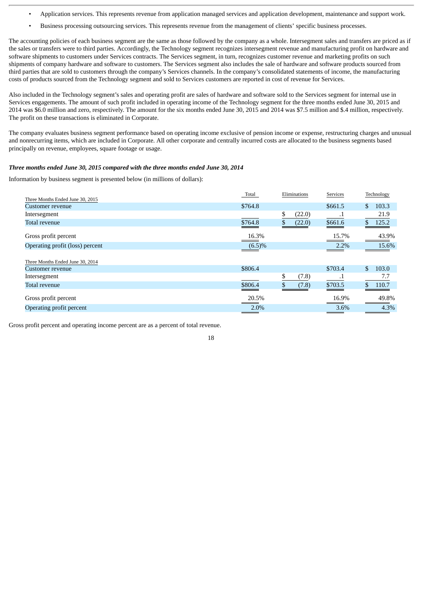- Application services. This represents revenue from application managed services and application development, maintenance and support work.
- Business processing outsourcing services. This represents revenue from the management of clients' specific business processes.

The accounting policies of each business segment are the same as those followed by the company as a whole. Intersegment sales and transfers are priced as if the sales or transfers were to third parties. Accordingly, the Technology segment recognizes intersegment revenue and manufacturing profit on hardware and software shipments to customers under Services contracts. The Services segment, in turn, recognizes customer revenue and marketing profits on such shipments of company hardware and software to customers. The Services segment also includes the sale of hardware and software products sourced from third parties that are sold to customers through the company's Services channels. In the company's consolidated statements of income, the manufacturing costs of products sourced from the Technology segment and sold to Services customers are reported in cost of revenue for Services.

Also included in the Technology segment's sales and operating profit are sales of hardware and software sold to the Services segment for internal use in Services engagements. The amount of such profit included in operating income of the Technology segment for the three months ended June 30, 2015 and 2014 was \$6.0 million and zero, respectively. The amount for the six months ended June 30, 2015 and 2014 was \$7.5 million and \$.4 million, respectively. The profit on these transactions is eliminated in Corporate.

The company evaluates business segment performance based on operating income exclusive of pension income or expense, restructuring charges and unusual and nonrecurring items, which are included in Corporate. All other corporate and centrally incurred costs are allocated to the business segments based principally on revenue, employees, square footage or usage.

#### *Three months ended June 30, 2015 compared with the three months ended June 30, 2014*

Information by business segment is presented below (in millions of dollars):

|                                  | Total     |   | Eliminations | Services |     | Technology |
|----------------------------------|-----------|---|--------------|----------|-----|------------|
| Three Months Ended June 30, 2015 |           |   |              |          |     |            |
| Customer revenue                 | \$764.8   |   |              | \$661.5  | \$. | 103.3      |
| Intersegment                     |           | S | (22.0)       |          |     | 21.9       |
| <b>Total revenue</b>             | \$764.8   |   | (22.0)       | \$661.6  | \$. | 125.2      |
| Gross profit percent             | 16.3%     |   |              | 15.7%    |     | 43.9%      |
| Operating profit (loss) percent  | $(6.5)\%$ |   |              | 2.2%     |     | 15.6%      |
| Three Months Ended June 30, 2014 |           |   |              |          |     |            |
| Customer revenue                 | \$806.4   |   |              | \$703.4  | \$. | 103.0      |
| Intersegment                     |           | ሖ | (7.8)        |          |     | 7.7        |
| Total revenue                    | \$806.4   |   | (7.8)        | \$703.5  |     | 110.7      |
| Gross profit percent             | 20.5%     |   |              | 16.9%    |     | 49.8%      |
| Operating profit percent         | 2.0%      |   |              | 3.6%     |     | 4.3%       |

Gross profit percent and operating income percent are as a percent of total revenue.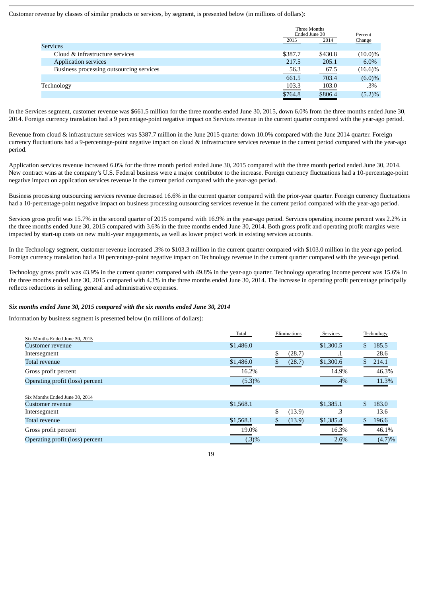Customer revenue by classes of similar products or services, by segment, is presented below (in millions of dollars):

|                                          |         | Three Months<br>Ended June 30<br>2014<br>2015 |            |  |
|------------------------------------------|---------|-----------------------------------------------|------------|--|
|                                          |         |                                               |            |  |
| <b>Services</b>                          |         |                                               |            |  |
| Cloud & infrastructure services          | \$387.7 | \$430.8                                       | $(10.0)\%$ |  |
| <b>Application services</b>              | 217.5   | 205.1                                         | $6.0\%$    |  |
| Business processing outsourcing services | 56.3    | 67.5                                          | $(16.6)\%$ |  |
|                                          | 661.5   | 703.4                                         | $(6.0)\%$  |  |
| Technology                               | 103.3   | 103.0                                         | .3%        |  |
|                                          | \$764.8 | \$806.4                                       | (5.2)%     |  |

In the Services segment, customer revenue was \$661.5 million for the three months ended June 30, 2015, down 6.0% from the three months ended June 30, 2014. Foreign currency translation had a 9 percentage-point negative impact on Services revenue in the current quarter compared with the year-ago period.

Revenue from cloud & infrastructure services was \$387.7 million in the June 2015 quarter down 10.0% compared with the June 2014 quarter. Foreign currency fluctuations had a 9-percentage-point negative impact on cloud & infrastructure services revenue in the current period compared with the year-ago period.

Application services revenue increased 6.0% for the three month period ended June 30, 2015 compared with the three month period ended June 30, 2014. New contract wins at the company's U.S. Federal business were a major contributor to the increase. Foreign currency fluctuations had a 10-percentage-point negative impact on application services revenue in the current period compared with the year-ago period.

Business processing outsourcing services revenue decreased 16.6% in the current quarter compared with the prior-year quarter. Foreign currency fluctuations had a 10-percentage-point negative impact on business processing outsourcing services revenue in the current period compared with the year-ago period.

Services gross profit was 15.7% in the second quarter of 2015 compared with 16.9% in the year-ago period. Services operating income percent was 2.2% in the three months ended June 30, 2015 compared with 3.6% in the three months ended June 30, 2014. Both gross profit and operating profit margins were impacted by start-up costs on new multi-year engagements, as well as lower project work in existing services accounts.

In the Technology segment, customer revenue increased .3% to \$103.3 million in the current quarter compared with \$103.0 million in the year-ago period. Foreign currency translation had a 10 percentage-point negative impact on Technology revenue in the current quarter compared with the year-ago period.

Technology gross profit was 43.9% in the current quarter compared with 49.8% in the year-ago quarter. Technology operating income percent was 15.6% in the three months ended June 30, 2015 compared with 4.3% in the three months ended June 30, 2014. The increase in operating profit percentage principally reflects reductions in selling, general and administrative expenses.

#### *Six months ended June 30, 2015 compared with the six months ended June 30, 2014*

Information by business segment is presented below (in millions of dollars):

|                                 | Total     |     | Eliminations | Services  | Technology  |
|---------------------------------|-----------|-----|--------------|-----------|-------------|
| Six Months Ended June 30, 2015  |           |     |              |           |             |
| Customer revenue                | \$1,486.0 |     |              | \$1,300.5 | \$<br>185.5 |
| Intersegment                    |           | \$  | (28.7)       |           | 28.6        |
| Total revenue                   | \$1,486.0 |     | (28.7)       | \$1,300.6 | 214.1       |
| Gross profit percent            | 16.2%     |     |              | 14.9%     | 46.3%       |
| Operating profit (loss) percent | $(5.3)\%$ |     |              | .4%       | 11.3%       |
|                                 |           |     |              |           |             |
| Six Months Ended June 30, 2014  |           |     |              |           |             |
| Customer revenue                | \$1,568.1 |     |              | \$1,385.1 | \$<br>183.0 |
| Intersegment                    |           | \$. | (13.9)       | .3        | 13.6        |
| Total revenue                   | \$1,568.1 |     | (13.9)       | \$1,385.4 | 196.6       |
| Gross profit percent            | 19.0%     |     |              | 16.3%     | 46.1%       |
| Operating profit (loss) percent | (.3)%     |     |              | 2.6%      | $(4.7)\%$   |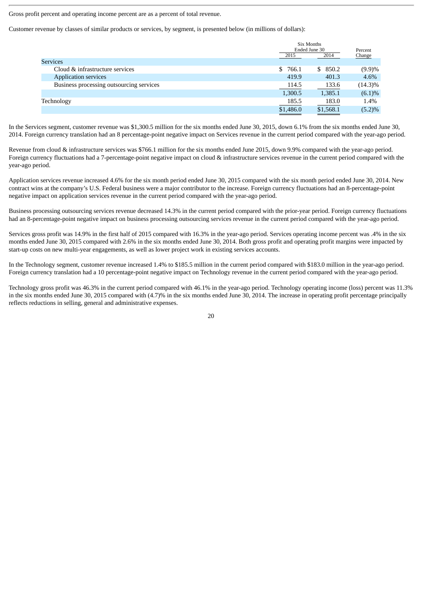Gross profit percent and operating income percent are as a percent of total revenue.

Customer revenue by classes of similar products or services, by segment, is presented below (in millions of dollars):

|                                          |             | Six Months<br>Ended June 30 |            |  |
|------------------------------------------|-------------|-----------------------------|------------|--|
|                                          | 2015        | 2014                        | Change     |  |
| <b>Services</b>                          |             |                             |            |  |
| Cloud & infrastructure services          | 766.1<br>S. | 850.2<br>\$                 | (9.9)%     |  |
| <b>Application services</b>              | 419.9       | 401.3                       | $4.6\%$    |  |
| Business processing outsourcing services | 114.5       | 133.6                       | $(14.3)\%$ |  |
|                                          | 1,300.5     | 1,385.1                     | (6.1)%     |  |
| Technology                               | 185.5       | 183.0                       | 1.4%       |  |
|                                          | \$1,486.0   | \$1,568.1                   | (5.2)%     |  |

In the Services segment, customer revenue was \$1,300.5 million for the six months ended June 30, 2015, down 6.1% from the six months ended June 30, 2014. Foreign currency translation had an 8 percentage-point negative impact on Services revenue in the current period compared with the year-ago period.

Revenue from cloud & infrastructure services was \$766.1 million for the six months ended June 2015, down 9.9% compared with the year-ago period. Foreign currency fluctuations had a 7-percentage-point negative impact on cloud & infrastructure services revenue in the current period compared with the year-ago period.

Application services revenue increased 4.6% for the six month period ended June 30, 2015 compared with the six month period ended June 30, 2014. New contract wins at the company's U.S. Federal business were a major contributor to the increase. Foreign currency fluctuations had an 8-percentage-point negative impact on application services revenue in the current period compared with the year-ago period.

Business processing outsourcing services revenue decreased 14.3% in the current period compared with the prior-year period. Foreign currency fluctuations had an 8-percentage-point negative impact on business processing outsourcing services revenue in the current period compared with the year-ago period.

Services gross profit was 14.9% in the first half of 2015 compared with 16.3% in the year-ago period. Services operating income percent was .4% in the six months ended June 30, 2015 compared with 2.6% in the six months ended June 30, 2014. Both gross profit and operating profit margins were impacted by start-up costs on new multi-year engagements, as well as lower project work in existing services accounts.

In the Technology segment, customer revenue increased 1.4% to \$185.5 million in the current period compared with \$183.0 million in the year-ago period. Foreign currency translation had a 10 percentage-point negative impact on Technology revenue in the current period compared with the year-ago period.

Technology gross profit was 46.3% in the current period compared with 46.1% in the year-ago period. Technology operating income (loss) percent was 11.3% in the six months ended June 30, 2015 compared with (4.7)% in the six months ended June 30, 2014. The increase in operating profit percentage principally reflects reductions in selling, general and administrative expenses.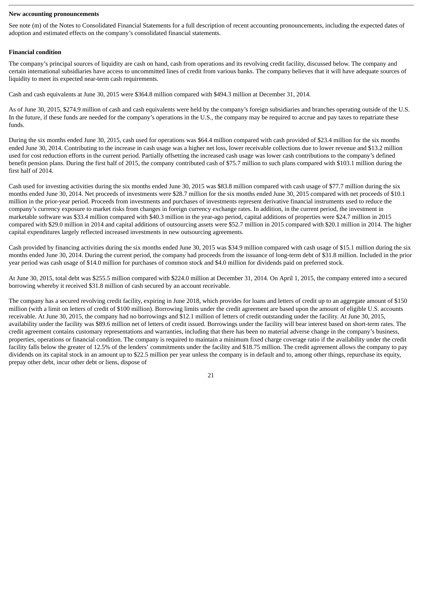#### **New accounting pronouncements**

See note (m) of the Notes to Consolidated Financial Statements for a full description of recent accounting pronouncements, including the expected dates of adoption and estimated effects on the company's consolidated financial statements.

#### **Financial condition**

The company's principal sources of liquidity are cash on hand, cash from operations and its revolving credit facility, discussed below. The company and certain international subsidiaries have access to uncommitted lines of credit from various banks. The company believes that it will have adequate sources of liquidity to meet its expected near-term cash requirements.

Cash and cash equivalents at June 30, 2015 were \$364.8 million compared with \$494.3 million at December 31, 2014.

As of June 30, 2015, \$274.9 million of cash and cash equivalents were held by the company's foreign subsidiaries and branches operating outside of the U.S. In the future, if these funds are needed for the company's operations in the U.S., the company may be required to accrue and pay taxes to repatriate these funds.

During the six months ended June 30, 2015, cash used for operations was \$64.4 million compared with cash provided of \$23.4 million for the six months ended June 30, 2014. Contributing to the increase in cash usage was a higher net loss, lower receivable collections due to lower revenue and \$13.2 million used for cost reduction efforts in the current period. Partially offsetting the increased cash usage was lower cash contributions to the company's defined benefit pension plans. During the first half of 2015, the company contributed cash of \$75.7 million to such plans compared with \$103.1 million during the first half of 2014.

Cash used for investing activities during the six months ended June 30, 2015 was \$83.8 million compared with cash usage of \$77.7 million during the six months ended June 30, 2014. Net proceeds of investments were \$28.7 million for the six months ended June 30, 2015 compared with net proceeds of \$10.1 million in the prior-year period. Proceeds from investments and purchases of investments represent derivative financial instruments used to reduce the company's currency exposure to market risks from changes in foreign currency exchange rates. In addition, in the current period, the investment in marketable software was \$33.4 million compared with \$40.3 million in the year-ago period, capital additions of properties were \$24.7 million in 2015 compared with \$29.0 million in 2014 and capital additions of outsourcing assets were \$52.7 million in 2015 compared with \$20.1 million in 2014. The higher capital expenditures largely reflected increased investments in new outsourcing agreements.

Cash provided by financing activities during the six months ended June 30, 2015 was \$34.9 million compared with cash usage of \$15.1 million during the six months ended June 30, 2014. During the current period, the company had proceeds from the issuance of long-term debt of \$31.8 million. Included in the prior year period was cash usage of \$14.0 million for purchases of common stock and \$4.0 million for dividends paid on preferred stock.

At June 30, 2015, total debt was \$255.5 million compared with \$224.0 million at December 31, 2014. On April 1, 2015, the company entered into a secured borrowing whereby it received \$31.8 million of cash secured by an account receivable.

The company has a secured revolving credit facility, expiring in June 2018, which provides for loans and letters of credit up to an aggregate amount of \$150 million (with a limit on letters of credit of \$100 million). Borrowing limits under the credit agreement are based upon the amount of eligible U.S. accounts receivable. At June 30, 2015, the company had no borrowings and \$12.1 million of letters of credit outstanding under the facility. At June 30, 2015, availability under the facility was \$89.6 million net of letters of credit issued. Borrowings under the facility will bear interest based on short-term rates. The credit agreement contains customary representations and warranties, including that there has been no material adverse change in the company's business, properties, operations or financial condition. The company is required to maintain a minimum fixed charge coverage ratio if the availability under the credit facility falls below the greater of 12.5% of the lenders' commitments under the facility and \$18.75 million. The credit agreement allows the company to pay dividends on its capital stock in an amount up to \$22.5 million per year unless the company is in default and to, among other things, repurchase its equity, prepay other debt, incur other debt or liens, dispose of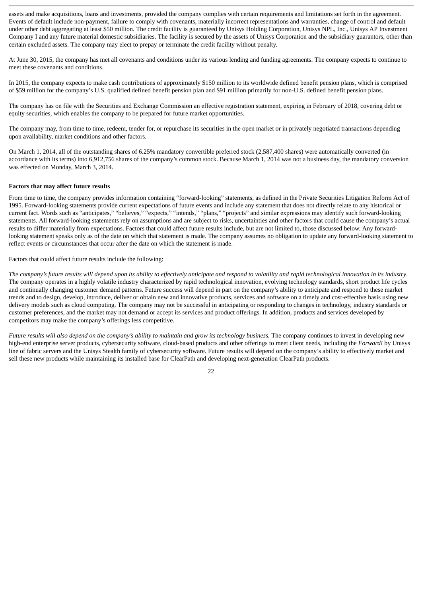assets and make acquisitions, loans and investments, provided the company complies with certain requirements and limitations set forth in the agreement. Events of default include non-payment, failure to comply with covenants, materially incorrect representations and warranties, change of control and default under other debt aggregating at least \$50 million. The credit facility is guaranteed by Unisys Holding Corporation, Unisys NPL, Inc., Unisys AP Investment Company I and any future material domestic subsidiaries. The facility is secured by the assets of Unisys Corporation and the subsidiary guarantors, other than certain excluded assets. The company may elect to prepay or terminate the credit facility without penalty.

At June 30, 2015, the company has met all covenants and conditions under its various lending and funding agreements. The company expects to continue to meet these covenants and conditions.

In 2015, the company expects to make cash contributions of approximately \$150 million to its worldwide defined benefit pension plans, which is comprised of \$59 million for the company's U.S. qualified defined benefit pension plan and \$91 million primarily for non-U.S. defined benefit pension plans.

The company has on file with the Securities and Exchange Commission an effective registration statement, expiring in February of 2018, covering debt or equity securities, which enables the company to be prepared for future market opportunities.

The company may, from time to time, redeem, tender for, or repurchase its securities in the open market or in privately negotiated transactions depending upon availability, market conditions and other factors.

On March 1, 2014, all of the outstanding shares of 6.25% mandatory convertible preferred stock (2,587,400 shares) were automatically converted (in accordance with its terms) into 6,912,756 shares of the company's common stock. Because March 1, 2014 was not a business day, the mandatory conversion was effected on Monday, March 3, 2014.

#### **Factors that may affect future results**

From time to time, the company provides information containing "forward-looking" statements, as defined in the Private Securities Litigation Reform Act of 1995. Forward-looking statements provide current expectations of future events and include any statement that does not directly relate to any historical or current fact. Words such as "anticipates," "believes," "expects," "intends," "plans," "projects" and similar expressions may identify such forward-looking statements. All forward-looking statements rely on assumptions and are subject to risks, uncertainties and other factors that could cause the company's actual results to differ materially from expectations. Factors that could affect future results include, but are not limited to, those discussed below. Any forwardlooking statement speaks only as of the date on which that statement is made. The company assumes no obligation to update any forward-looking statement to reflect events or circumstances that occur after the date on which the statement is made.

Factors that could affect future results include the following:

The company's future results will depend upon its ability to effectively anticipate and respond to volatility and rapid technological innovation in its industry. The company operates in a highly volatile industry characterized by rapid technological innovation, evolving technology standards, short product life cycles and continually changing customer demand patterns. Future success will depend in part on the company's ability to anticipate and respond to these market trends and to design, develop, introduce, deliver or obtain new and innovative products, services and software on a timely and cost-effective basis using new delivery models such as cloud computing. The company may not be successful in anticipating or responding to changes in technology, industry standards or customer preferences, and the market may not demand or accept its services and product offerings. In addition, products and services developed by competitors may make the company's offerings less competitive.

Future results will also depend on the company's ability to maintain and grow its technology business. The company continues to invest in developing new high-end enterprise server products, cybersecurity software, cloud-based products and other offerings to meet client needs, including the *Forward!* by Unisys line of fabric servers and the Unisys Stealth family of cybersecurity software. Future results will depend on the company's ability to effectively market and sell these new products while maintaining its installed base for ClearPath and developing next-generation ClearPath products.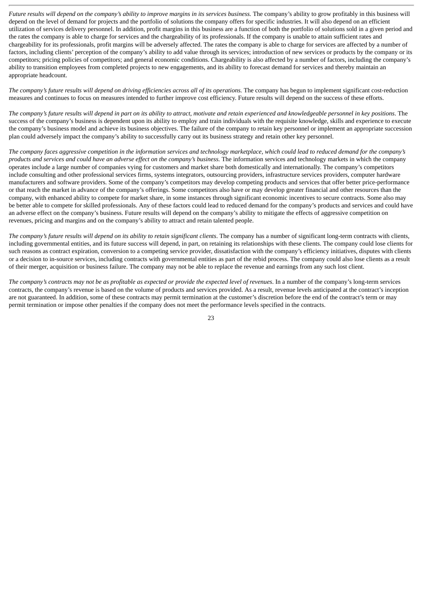Future results will depend on the company's ability to improve margins in its services business. The company's ability to grow profitably in this business will depend on the level of demand for projects and the portfolio of solutions the company offers for specific industries. It will also depend on an efficient utilization of services delivery personnel. In addition, profit margins in this business are a function of both the portfolio of solutions sold in a given period and the rates the company is able to charge for services and the chargeability of its professionals. If the company is unable to attain sufficient rates and chargeability for its professionals, profit margins will be adversely affected. The rates the company is able to charge for services are affected by a number of factors, including clients' perception of the company's ability to add value through its services; introduction of new services or products by the company or its competitors; pricing policies of competitors; and general economic conditions. Chargeability is also affected by a number of factors, including the company's ability to transition employees from completed projects to new engagements, and its ability to forecast demand for services and thereby maintain an appropriate headcount.

The company's future results will depend on driving efficiencies across all of its operations. The company has begun to implement significant cost-reduction measures and continues to focus on measures intended to further improve cost efficiency. Future results will depend on the success of these efforts.

The company's future results will depend in part on its ability to attract, motivate and retain experienced and knowledgeable personnel in key positions. The success of the company's business is dependent upon its ability to employ and train individuals with the requisite knowledge, skills and experience to execute the company's business model and achieve its business objectives. The failure of the company to retain key personnel or implement an appropriate succession plan could adversely impact the company's ability to successfully carry out its business strategy and retain other key personnel.

The company faces aggressive competition in the information services and technology marketplace, which could lead to reduced demand for the company's products and services and could have an adverse effect on the company's business. The information services and technology markets in which the company operates include a large number of companies vying for customers and market share both domestically and internationally. The company's competitors include consulting and other professional services firms, systems integrators, outsourcing providers, infrastructure services providers, computer hardware manufacturers and software providers. Some of the company's competitors may develop competing products and services that offer better price-performance or that reach the market in advance of the company's offerings. Some competitors also have or may develop greater financial and other resources than the company, with enhanced ability to compete for market share, in some instances through significant economic incentives to secure contracts. Some also may be better able to compete for skilled professionals. Any of these factors could lead to reduced demand for the company's products and services and could have an adverse effect on the company's business. Future results will depend on the company's ability to mitigate the effects of aggressive competition on revenues, pricing and margins and on the company's ability to attract and retain talented people.

The company's future results will depend on its ability to retain significant clients. The company has a number of significant long-term contracts with clients, including governmental entities, and its future success will depend, in part, on retaining its relationships with these clients. The company could lose clients for such reasons as contract expiration, conversion to a competing service provider, dissatisfaction with the company's efficiency initiatives, disputes with clients or a decision to in-source services, including contracts with governmental entities as part of the rebid process. The company could also lose clients as a result of their merger, acquisition or business failure. The company may not be able to replace the revenue and earnings from any such lost client.

The company's contracts may not be as profitable as expected or provide the expected level of revenues. In a number of the company's long-term services contracts, the company's revenue is based on the volume of products and services provided. As a result, revenue levels anticipated at the contract's inception are not guaranteed. In addition, some of these contracts may permit termination at the customer's discretion before the end of the contract's term or may permit termination or impose other penalties if the company does not meet the performance levels specified in the contracts.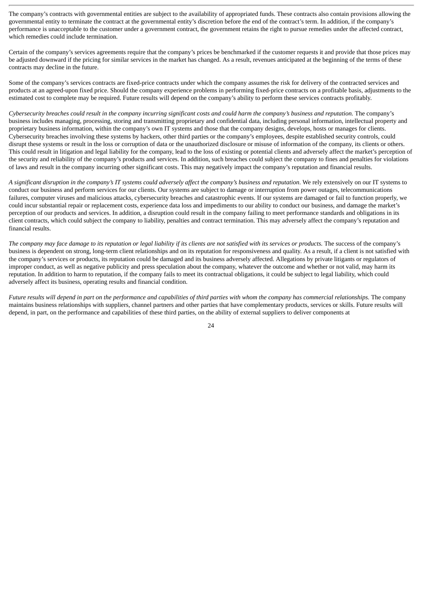The company's contracts with governmental entities are subject to the availability of appropriated funds. These contracts also contain provisions allowing the governmental entity to terminate the contract at the governmental entity's discretion before the end of the contract's term. In addition, if the company's performance is unacceptable to the customer under a government contract, the government retains the right to pursue remedies under the affected contract, which remedies could include termination.

Certain of the company's services agreements require that the company's prices be benchmarked if the customer requests it and provide that those prices may be adjusted downward if the pricing for similar services in the market has changed. As a result, revenues anticipated at the beginning of the terms of these contracts may decline in the future.

Some of the company's services contracts are fixed-price contracts under which the company assumes the risk for delivery of the contracted services and products at an agreed-upon fixed price. Should the company experience problems in performing fixed-price contracts on a profitable basis, adjustments to the estimated cost to complete may be required. Future results will depend on the company's ability to perform these services contracts profitably.

Cybersecurity breaches could result in the company incurring significant costs and could harm the company's business and reputation. The company's business includes managing, processing, storing and transmitting proprietary and confidential data, including personal information, intellectual property and proprietary business information, within the company's own IT systems and those that the company designs, develops, hosts or manages for clients. Cybersecurity breaches involving these systems by hackers, other third parties or the company's employees, despite established security controls, could disrupt these systems or result in the loss or corruption of data or the unauthorized disclosure or misuse of information of the company, its clients or others. This could result in litigation and legal liability for the company, lead to the loss of existing or potential clients and adversely affect the market's perception of the security and reliability of the company's products and services. In addition, such breaches could subject the company to fines and penalties for violations of laws and result in the company incurring other significant costs. This may negatively impact the company's reputation and financial results.

A significant disruption in the company's IT systems could adversely affect the company's business and reputation. We rely extensively on our IT systems to conduct our business and perform services for our clients. Our systems are subject to damage or interruption from power outages, telecommunications failures, computer viruses and malicious attacks, cybersecurity breaches and catastrophic events. If our systems are damaged or fail to function properly, we could incur substantial repair or replacement costs, experience data loss and impediments to our ability to conduct our business, and damage the market's perception of our products and services. In addition, a disruption could result in the company failing to meet performance standards and obligations in its client contracts, which could subject the company to liability, penalties and contract termination. This may adversely affect the company's reputation and financial results.

The company may face damage to its reputation or legal liability if its clients are not satisfied with its services or products. The success of the company's business is dependent on strong, long-term client relationships and on its reputation for responsiveness and quality. As a result, if a client is not satisfied with the company's services or products, its reputation could be damaged and its business adversely affected. Allegations by private litigants or regulators of improper conduct, as well as negative publicity and press speculation about the company, whatever the outcome and whether or not valid, may harm its reputation. In addition to harm to reputation, if the company fails to meet its contractual obligations, it could be subject to legal liability, which could adversely affect its business, operating results and financial condition.

Future results will depend in part on the performance and capabilities of third parties with whom the company has commercial relationships. The company maintains business relationships with suppliers, channel partners and other parties that have complementary products, services or skills. Future results will depend, in part, on the performance and capabilities of these third parties, on the ability of external suppliers to deliver components at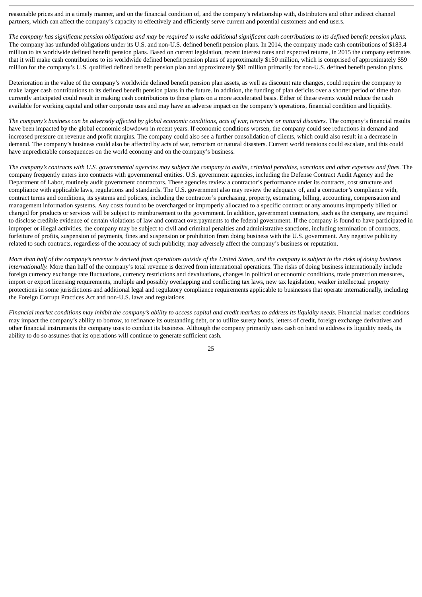reasonable prices and in a timely manner, and on the financial condition of, and the company's relationship with, distributors and other indirect channel partners, which can affect the company's capacity to effectively and efficiently serve current and potential customers and end users.

The company has significant pension obligations and may be required to make additional significant cash contributions to its defined benefit pension plans. The company has unfunded obligations under its U.S. and non-U.S. defined benefit pension plans. In 2014, the company made cash contributions of \$183.4 million to its worldwide defined benefit pension plans. Based on current legislation, recent interest rates and expected returns, in 2015 the company estimates that it will make cash contributions to its worldwide defined benefit pension plans of approximately \$150 million, which is comprised of approximately \$59 million for the company's U.S. qualified defined benefit pension plan and approximately \$91 million primarily for non-U.S. defined benefit pension plans.

Deterioration in the value of the company's worldwide defined benefit pension plan assets, as well as discount rate changes, could require the company to make larger cash contributions to its defined benefit pension plans in the future. In addition, the funding of plan deficits over a shorter period of time than currently anticipated could result in making cash contributions to these plans on a more accelerated basis. Either of these events would reduce the cash available for working capital and other corporate uses and may have an adverse impact on the company's operations, financial condition and liquidity.

The company's business can be adversely affected by alobal economic conditions, acts of war, terrorism or natural disasters. The company's financial results have been impacted by the global economic slowdown in recent years. If economic conditions worsen, the company could see reductions in demand and increased pressure on revenue and profit margins. The company could also see a further consolidation of clients, which could also result in a decrease in demand. The company's business could also be affected by acts of war, terrorism or natural disasters. Current world tensions could escalate, and this could have unpredictable consequences on the world economy and on the company's business.

The company's contracts with U.S. governmental agencies may subject the company to audits, criminal penalties, sanctions and other expenses and fines. The company frequently enters into contracts with governmental entities. U.S. government agencies, including the Defense Contract Audit Agency and the Department of Labor, routinely audit government contractors. These agencies review a contractor's performance under its contracts, cost structure and compliance with applicable laws, regulations and standards. The U.S. government also may review the adequacy of, and a contractor's compliance with, contract terms and conditions, its systems and policies, including the contractor's purchasing, property, estimating, billing, accounting, compensation and management information systems. Any costs found to be overcharged or improperly allocated to a specific contract or any amounts improperly billed or charged for products or services will be subject to reimbursement to the government. In addition, government contractors, such as the company, are required to disclose credible evidence of certain violations of law and contract overpayments to the federal government. If the company is found to have participated in improper or illegal activities, the company may be subject to civil and criminal penalties and administrative sanctions, including termination of contracts, forfeiture of profits, suspension of payments, fines and suspension or prohibition from doing business with the U.S. government. Any negative publicity related to such contracts, regardless of the accuracy of such publicity, may adversely affect the company's business or reputation.

More than half of the company's revenue is derived from operations outside of the United States, and the company is subject to the risks of doing business *internationally.* More than half of the company's total revenue is derived from international operations. The risks of doing business internationally include foreign currency exchange rate fluctuations, currency restrictions and devaluations, changes in political or economic conditions, trade protection measures, import or export licensing requirements, multiple and possibly overlapping and conflicting tax laws, new tax legislation, weaker intellectual property protections in some jurisdictions and additional legal and regulatory compliance requirements applicable to businesses that operate internationally, including the Foreign Corrupt Practices Act and non-U.S. laws and regulations.

Financial market conditions may inhibit the company's ability to access capital and credit markets to address its liquidity needs. Financial market conditions may impact the company's ability to borrow, to refinance its outstanding debt, or to utilize surety bonds, letters of credit, foreign exchange derivatives and other financial instruments the company uses to conduct its business. Although the company primarily uses cash on hand to address its liquidity needs, its ability to do so assumes that its operations will continue to generate sufficient cash.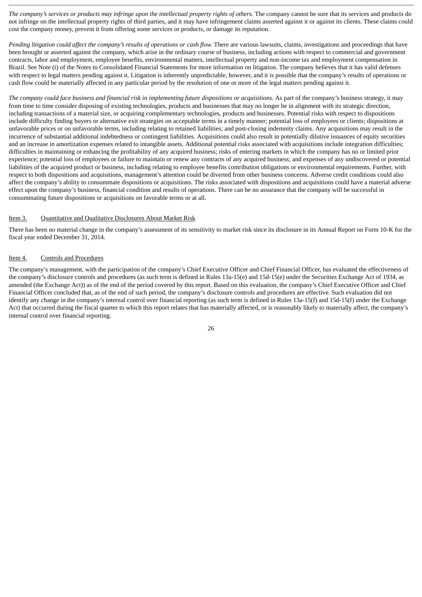The company's services or products may infringe upon the intellectual property rights of others. The company cannot be sure that its services and products do not infringe on the intellectual property rights of third parties, and it may have infringement claims asserted against it or against its clients. These claims could cost the company money, prevent it from offering some services or products, or damage its reputation.

Pending litigation could affect the company's results of operations or cash flow. There are various lawsuits, claims, investigations and proceedings that have been brought or asserted against the company, which arise in the ordinary course of business, including actions with respect to commercial and government contracts, labor and employment, employee benefits, environmental matters, intellectual property and non-income tax and employment compensation in Brazil. See Note (i) of the Notes to Consolidated Financial Statements for more information on litigation. The company believes that it has valid defenses with respect to legal matters pending against it. Litigation is inherently unpredictable, however, and it is possible that the company's results of operations or cash flow could be materially affected in any particular period by the resolution of one or more of the legal matters pending against it.

The company could face business and financial risk in implementing future dispositions or acquisitions. As part of the company's business strategy, it may from time to time consider disposing of existing technologies, products and businesses that may no longer be in alignment with its strategic direction, including transactions of a material size, or acquiring complementary technologies, products and businesses. Potential risks with respect to dispositions include difficulty finding buyers or alternative exit strategies on acceptable terms in a timely manner; potential loss of employees or clients; dispositions at unfavorable prices or on unfavorable terms, including relating to retained liabilities; and post-closing indemnity claims. Any acquisitions may result in the incurrence of substantial additional indebtedness or contingent liabilities. Acquisitions could also result in potentially dilutive issuances of equity securities and an increase in amortization expenses related to intangible assets. Additional potential risks associated with acquisitions include integration difficulties; difficulties in maintaining or enhancing the profitability of any acquired business; risks of entering markets in which the company has no or limited prior experience; potential loss of employees or failure to maintain or renew any contracts of any acquired business; and expenses of any undiscovered or potential liabilities of the acquired product or business, including relating to employee benefits contribution obligations or environmental requirements. Further, with respect to both dispositions and acquisitions, management's attention could be diverted from other business concerns. Adverse credit conditions could also affect the company's ability to consummate dispositions or acquisitions. The risks associated with dispositions and acquisitions could have a material adverse effect upon the company's business, financial condition and results of operations. There can be no assurance that the company will be successful in consummating future dispositions or acquisitions on favorable terms or at all.

#### Item 3. Quantitative and Qualitative Disclosures About Market Risk

There has been no material change in the company's assessment of its sensitivity to market risk since its disclosure in its Annual Report on Form 10-K for the fiscal year ended December 31, 2014.

#### Item 4. Controls and Procedures

The company's management, with the participation of the company's Chief Executive Officer and Chief Financial Officer, has evaluated the effectiveness of the company's disclosure controls and procedures (as such term is defined in Rules 13a-15(e) and 15d-15(e) under the Securities Exchange Act of 1934, as amended (the Exchange Act)) as of the end of the period covered by this report. Based on this evaluation, the company's Chief Executive Officer and Chief Financial Officer concluded that, as of the end of such period, the company's disclosure controls and procedures are effective. Such evaluation did not identify any change in the company's internal control over financial reporting (as such term is defined in Rules 13a-15(f) and 15d-15(f) under the Exchange Act) that occurred during the fiscal quarter to which this report relates that has materially affected, or is reasonably likely to materially affect, the company's internal control over financial reporting.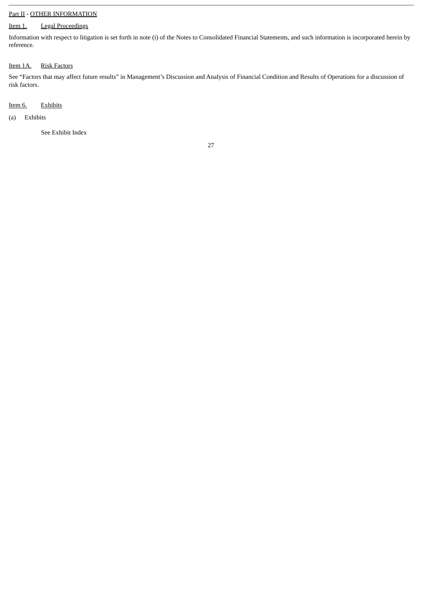## Part II - OTHER INFORMATION

## Item 1. Legal Proceedings

Information with respect to litigation is set forth in note (i) of the Notes to Consolidated Financial Statements, and such information is incorporated herein by reference.

## Item 1A. Risk Factors

See "Factors that may affect future results" in Management's Discussion and Analysis of Financial Condition and Results of Operations for a discussion of risk factors.

#### Item 6. Exhibits

(a) Exhibits

See Exhibit Index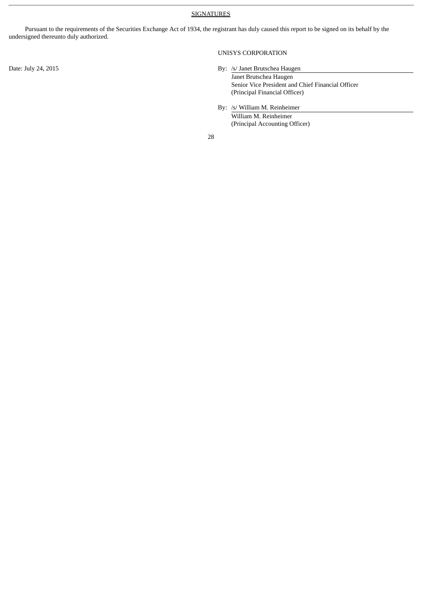## **SIGNATURES**

Pursuant to the requirements of the Securities Exchange Act of 1934, the registrant has duly caused this report to be signed on its behalf by the undersigned thereunto duly authorized.

## UNISYS CORPORATION

- Date: July 24, 2015 By: /s/ Janet Brutschea Haugen
	- Janet Brutschea Haugen Senior Vice President and Chief Financial Officer (Principal Financial Officer)
	- By: /s/ William M. Reinheimer William M. Reinheimer (Principal Accounting Officer)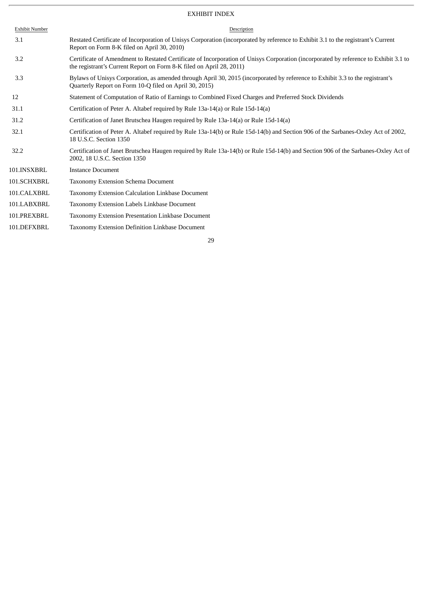## EXHIBIT INDEX

| <b>Exhibit Number</b> | Description                                                                                                                                                                                                  |
|-----------------------|--------------------------------------------------------------------------------------------------------------------------------------------------------------------------------------------------------------|
| 3.1                   | Restated Certificate of Incorporation of Unisys Corporation (incorporated by reference to Exhibit 3.1 to the registrant's Current<br>Report on Form 8-K filed on April 30, 2010)                             |
| 3.2                   | Certificate of Amendment to Restated Certificate of Incorporation of Unisys Corporation (incorporated by reference to Exhibit 3.1 to<br>the registrant's Current Report on Form 8-K filed on April 28, 2011) |
| 3.3                   | Bylaws of Unisys Corporation, as amended through April 30, 2015 (incorporated by reference to Exhibit 3.3 to the registrant's<br>Quarterly Report on Form 10-Q filed on April 30, 2015)                      |
| 12                    | Statement of Computation of Ratio of Earnings to Combined Fixed Charges and Preferred Stock Dividends                                                                                                        |
| 31.1                  | Certification of Peter A. Altabef required by Rule 13a-14(a) or Rule 15d-14(a)                                                                                                                               |
| 31.2                  | Certification of Janet Brutschea Haugen required by Rule 13a-14(a) or Rule 15d-14(a)                                                                                                                         |
| 32.1                  | Certification of Peter A. Altabef required by Rule 13a-14(b) or Rule 15d-14(b) and Section 906 of the Sarbanes-Oxley Act of 2002,<br>18 U.S.C. Section 1350                                                  |
| 32.2                  | Certification of Janet Brutschea Haugen required by Rule 13a-14(b) or Rule 15d-14(b) and Section 906 of the Sarbanes-Oxley Act of<br>2002, 18 U.S.C. Section 1350                                            |
| 101.INSXBRL           | <b>Instance Document</b>                                                                                                                                                                                     |
| 101.SCHXBRL           | <b>Taxonomy Extension Schema Document</b>                                                                                                                                                                    |
| 101.CALXBRL           | <b>Taxonomy Extension Calculation Linkbase Document</b>                                                                                                                                                      |
| 101.LABXBRL           | Taxonomy Extension Labels Linkbase Document                                                                                                                                                                  |
| 101.PREXBRL           | Taxonomy Extension Presentation Linkbase Document                                                                                                                                                            |
| 101.DEFXBRL           | Taxonomy Extension Definition Linkbase Document                                                                                                                                                              |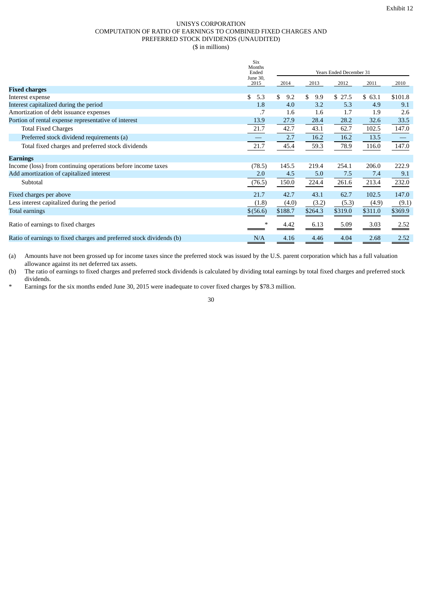#### UNISYS CORPORATION COMPUTATION OF RATIO OF EARNINGS TO COMBINED FIXED CHARGES AND PREFERRED STOCK DIVIDENDS (UNAUDITED) (\$ in millions)

|                                                                      | Six<br>Months<br>Ended   | Years Ended December 31 |           |         |         |                   |
|----------------------------------------------------------------------|--------------------------|-------------------------|-----------|---------|---------|-------------------|
|                                                                      | June 30,<br>2015         | 2014                    | 2013      | 2012    | 2011    | 2010              |
| <b>Fixed charges</b>                                                 |                          |                         |           |         |         |                   |
| Interest expense                                                     | 5.3<br>\$                | \$<br>9.2               | \$<br>9.9 | \$27.5  | \$63.1  | \$101.8           |
| Interest capitalized during the period                               | 1.8                      | 4.0                     | 3.2       | 5.3     | 4.9     | 9.1               |
| Amortization of debt issuance expenses                               | .7                       | 1.6                     | 1.6       | 1.7     | 1.9     | 2.6               |
| Portion of rental expense representative of interest                 | 13.9                     | 27.9                    | 28.4      | 28.2    | 32.6    | 33.5              |
| <b>Total Fixed Charges</b>                                           | 21.7                     | 42.7                    | 43.1      | 62.7    | 102.5   | 147.0             |
| Preferred stock dividend requirements (a)                            | $\overline{\phantom{0}}$ | 2.7                     | 16.2      | 16.2    | 13.5    | $\longrightarrow$ |
| Total fixed charges and preferred stock dividends                    | 21.7                     | 45.4                    | 59.3      | 78.9    | 116.0   | 147.0             |
| <b>Earnings</b>                                                      |                          |                         |           |         |         |                   |
| Income (loss) from continuing operations before income taxes         | (78.5)                   | 145.5                   | 219.4     | 254.1   | 206.0   | 222.9             |
| Add amortization of capitalized interest                             | 2.0                      | 4.5                     | 5.0       | 7.5     | 7.4     | 9.1               |
| Subtotal                                                             | (76.5)                   | 150.0                   | 224.4     | 261.6   | 213.4   | 232.0             |
| Fixed charges per above                                              | 21.7                     | 42.7                    | 43.1      | 62.7    | 102.5   | 147.0             |
| Less interest capitalized during the period                          | (1.8)                    | (4.0)                   | (3.2)     | (5.3)   | (4.9)   | (9.1)             |
| Total earnings                                                       | \$(56.6)                 | \$188.7                 | \$264.3   | \$319.0 | \$311.0 | \$369.9           |
| Ratio of earnings to fixed charges                                   |                          | 4.42                    | 6.13      | 5.09    | 3.03    | 2.52              |
| Ratio of earnings to fixed charges and preferred stock dividends (b) | N/A                      | 4.16                    | 4.46      | 4.04    | 2.68    | 2.52              |

(a) Amounts have not been grossed up for income taxes since the preferred stock was issued by the U.S. parent corporation which has a full valuation allowance against its net deferred tax assets.

(b) The ratio of earnings to fixed charges and preferred stock dividends is calculated by dividing total earnings by total fixed charges and preferred stock dividends.

Earnings for the six months ended June 30, 2015 were inadequate to cover fixed charges by \$78.3 million.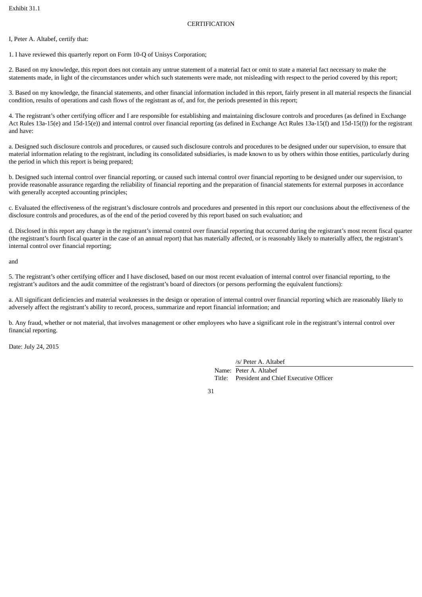#### **CERTIFICATION**

I, Peter A. Altabef, certify that:

1. I have reviewed this quarterly report on Form 10-Q of Unisys Corporation;

2. Based on my knowledge, this report does not contain any untrue statement of a material fact or omit to state a material fact necessary to make the statements made, in light of the circumstances under which such statements were made, not misleading with respect to the period covered by this report;

3. Based on my knowledge, the financial statements, and other financial information included in this report, fairly present in all material respects the financial condition, results of operations and cash flows of the registrant as of, and for, the periods presented in this report;

4. The registrant's other certifying officer and I are responsible for establishing and maintaining disclosure controls and procedures (as defined in Exchange Act Rules 13a-15(e) and 15d-15(e)) and internal control over financial reporting (as defined in Exchange Act Rules 13a-15(f) and 15d-15(f)) for the registrant and have:

a. Designed such disclosure controls and procedures, or caused such disclosure controls and procedures to be designed under our supervision, to ensure that material information relating to the registrant, including its consolidated subsidiaries, is made known to us by others within those entities, particularly during the period in which this report is being prepared;

b. Designed such internal control over financial reporting, or caused such internal control over financial reporting to be designed under our supervision, to provide reasonable assurance regarding the reliability of financial reporting and the preparation of financial statements for external purposes in accordance with generally accepted accounting principles;

c. Evaluated the effectiveness of the registrant's disclosure controls and procedures and presented in this report our conclusions about the effectiveness of the disclosure controls and procedures, as of the end of the period covered by this report based on such evaluation; and

d. Disclosed in this report any change in the registrant's internal control over financial reporting that occurred during the registrant's most recent fiscal quarter (the registrant's fourth fiscal quarter in the case of an annual report) that has materially affected, or is reasonably likely to materially affect, the registrant's internal control over financial reporting;

and

5. The registrant's other certifying officer and I have disclosed, based on our most recent evaluation of internal control over financial reporting, to the registrant's auditors and the audit committee of the registrant's board of directors (or persons performing the equivalent functions):

a. All significant deficiencies and material weaknesses in the design or operation of internal control over financial reporting which are reasonably likely to adversely affect the registrant's ability to record, process, summarize and report financial information; and

b. Any fraud, whether or not material, that involves management or other employees who have a significant role in the registrant's internal control over financial reporting.

Date: July 24, 2015

/s/ Peter A. Altabef

Name: Peter A. Altabef Title: President and Chief Executive Officer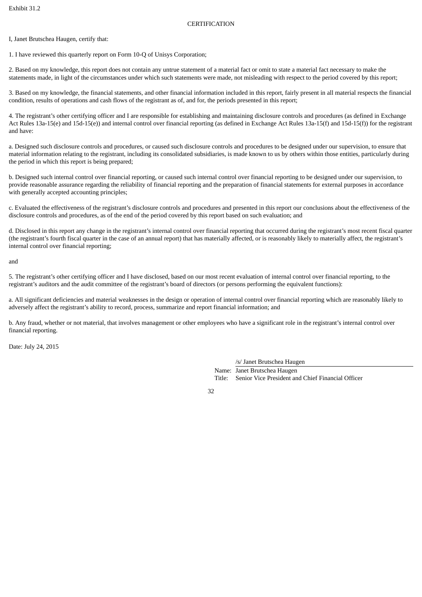#### **CERTIFICATION**

I, Janet Brutschea Haugen, certify that:

1. I have reviewed this quarterly report on Form 10-Q of Unisys Corporation;

2. Based on my knowledge, this report does not contain any untrue statement of a material fact or omit to state a material fact necessary to make the statements made, in light of the circumstances under which such statements were made, not misleading with respect to the period covered by this report;

3. Based on my knowledge, the financial statements, and other financial information included in this report, fairly present in all material respects the financial condition, results of operations and cash flows of the registrant as of, and for, the periods presented in this report;

4. The registrant's other certifying officer and I are responsible for establishing and maintaining disclosure controls and procedures (as defined in Exchange Act Rules 13a-15(e) and 15d-15(e)) and internal control over financial reporting (as defined in Exchange Act Rules 13a-15(f) and 15d-15(f)) for the registrant and have:

a. Designed such disclosure controls and procedures, or caused such disclosure controls and procedures to be designed under our supervision, to ensure that material information relating to the registrant, including its consolidated subsidiaries, is made known to us by others within those entities, particularly during the period in which this report is being prepared;

b. Designed such internal control over financial reporting, or caused such internal control over financial reporting to be designed under our supervision, to provide reasonable assurance regarding the reliability of financial reporting and the preparation of financial statements for external purposes in accordance with generally accepted accounting principles;

c. Evaluated the effectiveness of the registrant's disclosure controls and procedures and presented in this report our conclusions about the effectiveness of the disclosure controls and procedures, as of the end of the period covered by this report based on such evaluation; and

d. Disclosed in this report any change in the registrant's internal control over financial reporting that occurred during the registrant's most recent fiscal quarter (the registrant's fourth fiscal quarter in the case of an annual report) that has materially affected, or is reasonably likely to materially affect, the registrant's internal control over financial reporting;

and

5. The registrant's other certifying officer and I have disclosed, based on our most recent evaluation of internal control over financial reporting, to the registrant's auditors and the audit committee of the registrant's board of directors (or persons performing the equivalent functions):

a. All significant deficiencies and material weaknesses in the design or operation of internal control over financial reporting which are reasonably likely to adversely affect the registrant's ability to record, process, summarize and report financial information; and

b. Any fraud, whether or not material, that involves management or other employees who have a significant role in the registrant's internal control over financial reporting.

Date: July 24, 2015

/s/ Janet Brutschea Haugen

Name: Janet Brutschea Haugen Title: Senior Vice President and Chief Financial Officer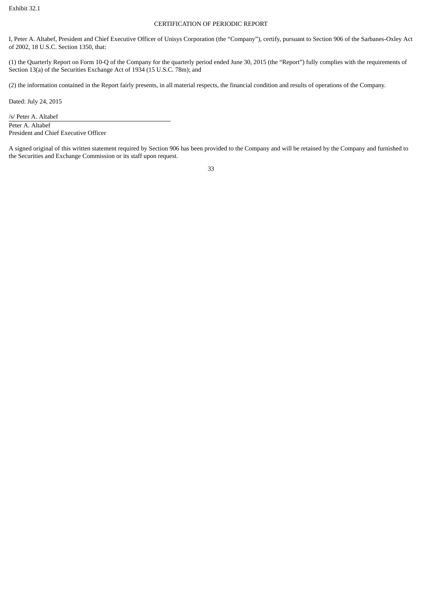#### CERTIFICATION OF PERIODIC REPORT

I, Peter A. Altabef, President and Chief Executive Officer of Unisys Corporation (the "Company"), certify, pursuant to Section 906 of the Sarbanes-Oxley Act of 2002, 18 U.S.C. Section 1350, that:

(1) the Quarterly Report on Form 10-Q of the Company for the quarterly period ended June 30, 2015 (the "Report") fully complies with the requirements of Section 13(a) of the Securities Exchange Act of 1934 (15 U.S.C. 78m); and

(2) the information contained in the Report fairly presents, in all material respects, the financial condition and results of operations of the Company.

Dated: July 24, 2015

/s/ Peter A. Altabef Peter A. Altabef President and Chief Executive Officer

A signed original of this written statement required by Section 906 has been provided to the Company and will be retained by the Company and furnished to the Securities and Exchange Commission or its staff upon request.